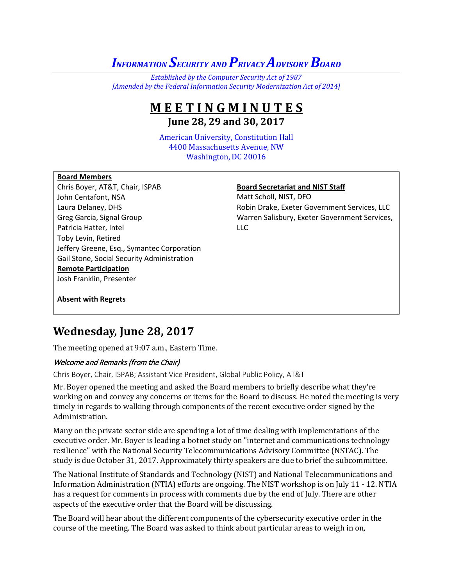# *INFORMATION SECURITY AND PRIVACY ADVISORYBOARD*

*Established by the Computer Security Act of 1987 [Amended by the Federal Information Security Modernization Act of 2014]*

## **M E E T I N G M I N U T E S June 28, 29 and 30, 2017**

American University, Constitution Hall 4400 Massachusetts Avenue, NW Washington, DC 20016

| <b>Board Members</b>                       |                                               |
|--------------------------------------------|-----------------------------------------------|
| Chris Boyer, AT&T, Chair, ISPAB            | <b>Board Secretariat and NIST Staff</b>       |
| John Centafont, NSA                        | Matt Scholl, NIST, DFO                        |
| Laura Delaney, DHS                         | Robin Drake, Exeter Government Services, LLC  |
| Greg Garcia, Signal Group                  | Warren Salisbury, Exeter Government Services, |
| Patricia Hatter, Intel                     | <b>LLC</b>                                    |
| Toby Levin, Retired                        |                                               |
| Jeffery Greene, Esq., Symantec Corporation |                                               |
| Gail Stone, Social Security Administration |                                               |
| <b>Remote Participation</b>                |                                               |
| Josh Franklin, Presenter                   |                                               |
|                                            |                                               |
| <b>Absent with Regrets</b>                 |                                               |

## **Wednesday, June 28, 2017**

The meeting opened at 9:07 a.m., Eastern Time.

## Welcome and Remarks (from the Chair)

Chris Boyer, Chair, ISPAB; Assistant Vice President, Global Public Policy, AT&T

Mr. Boyer opened the meeting and asked the Board members to briefly describe what they're working on and convey any concerns or items for the Board to discuss. He noted the meeting is very timely in regards to walking through components of the recent executive order signed by the Administration.

Many on the private sector side are spending a lot of time dealing with implementations of the executive order. Mr. Boyer is leading a botnet study on "internet and communications technology resilience" with the National Security Telecommunications Advisory Committee (NSTAC). The study is due October 31, 2017. Approximately thirty speakers are due to brief the subcommittee.

The National Institute of Standards and Technology (NIST) and National Telecommunications and Information Administration (NTIA) efforts are ongoing. The NIST workshop is on July 11 - 12. NTIA has a request for comments in process with comments due by the end of July. There are other aspects of the executive order that the Board will be discussing.

The Board will hear about the different components of the cybersecurity executive order in the course of the meeting. The Board was asked to think about particular areas to weigh in on,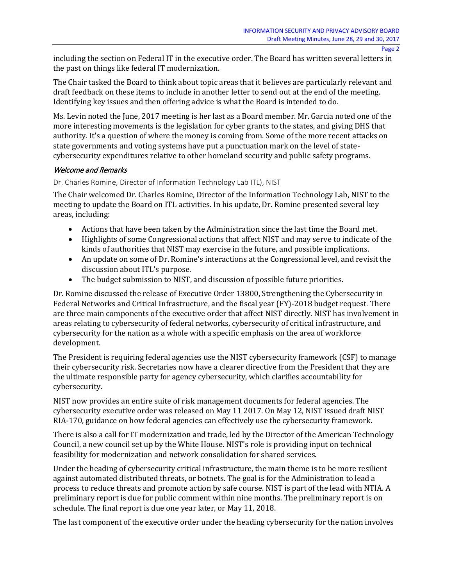including the section on Federal IT in the executive order. The Board has written several letters in the past on things like federal IT modernization.

The Chair tasked the Board to think about topic areas that it believes are particularly relevant and draft feedback on these items to include in another letter to send out at the end of the meeting. Identifying key issues and then offering advice is what the Board is intended to do.

Ms. Levin noted the June, 2017 meeting is her last as a Board member. Mr. Garcia noted one of the more interesting movements is the legislation for cyber grants to the states, and giving DHS that authority. It's a question of where the money is coming from. Some of the more recent attacks on state governments and voting systems have put a punctuation mark on the level of statecybersecurity expenditures relative to other homeland security and public safety programs.

## Welcome and Remarks

#### Dr. Charles Romine, Director of Information Technology Lab ITL), NIST

The Chair welcomed Dr. Charles Romine, Director of the Information Technology Lab, NIST to the meeting to update the Board on ITL activities. In his update, Dr. Romine presented several key areas, including:

- Actions that have been taken by the Administration since the last time the Board met.
- Highlights of some Congressional actions that affect NIST and may serve to indicate of the kinds of authorities that NIST may exercise in the future, and possible implications.
- An update on some of Dr. Romine's interactions at the Congressional level, and revisit the discussion about ITL's purpose.
- The budget submission to NIST, and discussion of possible future priorities.

Dr. Romine discussed the release of Executive Order 13800, Strengthening the Cybersecurity in Federal Networks and Critical Infrastructure, and the fiscal year (FY)-2018 budget request. There are three main components of the executive order that affect NIST directly. NIST has involvement in areas relating to cybersecurity of federal networks, cybersecurity of critical infrastructure, and cybersecurity for the nation as a whole with a specific emphasis on the area of workforce development.

The President is requiring federal agencies use the NIST cybersecurity framework (CSF) to manage their cybersecurity risk. Secretaries now have a clearer directive from the President that they are the ultimate responsible party for agency cybersecurity, which clarifies accountability for cybersecurity.

NIST now provides an entire suite of risk management documents for federal agencies. The cybersecurity executive order was released on May 11 2017. On May 12, NIST issued draft NIST RIA-170, guidance on how federal agencies can effectively use the cybersecurity framework.

There is also a call for IT modernization and trade, led by the Director of the American Technology Council, a new council set up by the White House. NIST's role is providing input on technical feasibility for modernization and network consolidation for shared services.

Under the heading of cybersecurity critical infrastructure, the main theme is to be more resilient against automated distributed threats, or botnets. The goal is for the Administration to lead a process to reduce threats and promote action by safe course. NIST is part of the lead with NTIA. A preliminary report is due for public comment within nine months. The preliminary report is on schedule. The final report is due one year later, or May 11, 2018.

The last component of the executive order under the heading cybersecurity for the nation involves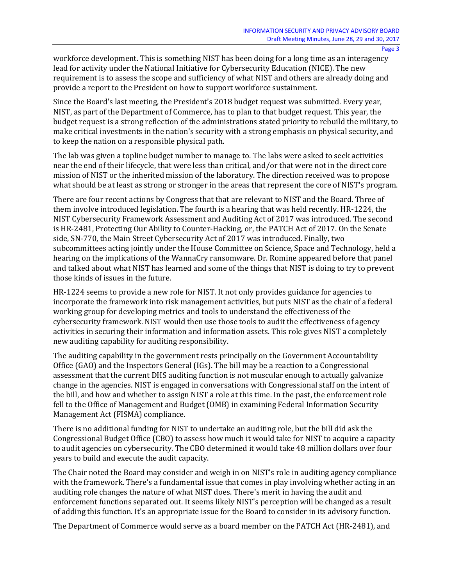workforce development. This is something NIST has been doing for a long time as an interagency lead for activity under the National Initiative for Cybersecurity Education (NICE). The new requirement is to assess the scope and sufficiency of what NIST and others are already doing and provide a report to the President on how to support workforce sustainment.

Since the Board's last meeting, the President's 2018 budget request was submitted. Every year, NIST, as part of the Department of Commerce, has to plan to that budget request. This year, the budget request is a strong reflection of the administrations stated priority to rebuild the military, to make critical investments in the nation's security with a strong emphasis on physical security, and to keep the nation on a responsible physical path.

The lab was given a topline budget number to manage to. The labs were asked to seek activities near the end of their lifecycle, that were less than critical, and/or that were not in the direct core mission of NIST or the inherited mission of the laboratory. The direction received was to propose what should be at least as strong or stronger in the areas that represent the core of NIST's program.

There are four recent actions by Congress that that are relevant to NIST and the Board. Three of them involve introduced legislation. The fourth is a hearing that was held recently. HR-1224, the NIST Cybersecurity Framework Assessment and Auditing Act of 2017 was introduced. The second is HR-2481, Protecting Our Ability to Counter-Hacking, or, the PATCH Act of 2017. On the Senate side, SN-770, the Main Street Cybersecurity Act of 2017 was introduced. Finally, two subcommittees acting jointly under the House Committee on Science, Space and Technology, held a hearing on the implications of the WannaCry ransomware. Dr. Romine appeared before that panel and talked about what NIST has learned and some of the things that NIST is doing to try to prevent those kinds of issues in the future.

HR-1224 seems to provide a new role for NIST. It not only provides guidance for agencies to incorporate the framework into risk management activities, but puts NIST as the chair of a federal working group for developing metrics and tools to understand the effectiveness of the cybersecurity framework. NIST would then use those tools to audit the effectiveness of agency activities in securing their information and information assets. This role gives NIST a completely new auditing capability for auditing responsibility.

The auditing capability in the government rests principally on the Government Accountability Office (GAO) and the Inspectors General (IGs). The bill may be a reaction to a Congressional assessment that the current DHS auditing function is not muscular enough to actually galvanize change in the agencies. NIST is engaged in conversations with Congressional staff on the intent of the bill, and how and whether to assign NIST a role at this time. In the past, the enforcement role fell to the Office of Management and Budget (OMB) in examining Federal Information Security Management Act (FISMA) compliance.

There is no additional funding for NIST to undertake an auditing role, but the bill did ask the Congressional Budget Office (CBO) to assess how much it would take for NIST to acquire a capacity to audit agencies on cybersecurity. The CBO determined it would take 48 million dollars over four years to build and execute the audit capacity.

The Chair noted the Board may consider and weigh in on NIST's role in auditing agency compliance with the framework. There's a fundamental issue that comes in play involving whether acting in an auditing role changes the nature of what NIST does. There's merit in having the audit and enforcement functions separated out. It seems likely NIST's perception will be changed as a result of adding this function. It's an appropriate issue for the Board to consider in its advisory function.

The Department of Commerce would serve as a board member on the PATCH Act (HR-2481), and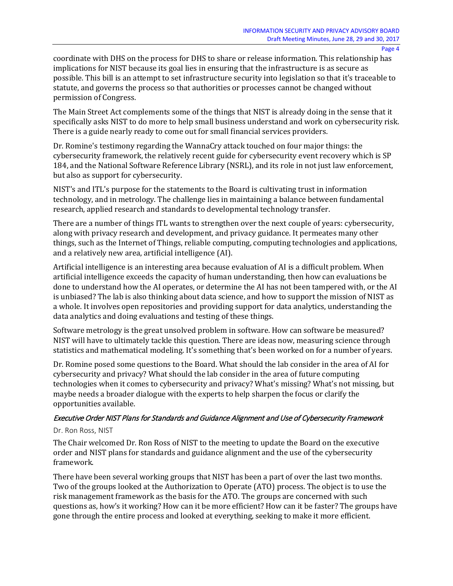coordinate with DHS on the process for DHS to share or release information. This relationship has implications for NIST because its goal lies in ensuring that the infrastructure is as secure as possible. This bill is an attempt to set infrastructure security into legislation so that it's traceable to statute, and governs the process so that authorities or processes cannot be changed without permission of Congress.

The Main Street Act complements some of the things that NIST is already doing in the sense that it specifically asks NIST to do more to help small business understand and work on cybersecurity risk. There is a guide nearly ready to come out for small financial services providers.

Dr. Romine's testimony regarding the WannaCry attack touched on four major things: the cybersecurity framework, the relatively recent guide for cybersecurity event recovery which is SP 184, and the National Software Reference Library (NSRL), and its role in not just law enforcement, but also as support for cybersecurity.

NIST's and ITL's purpose for the statements to the Board is cultivating trust in information technology, and in metrology. The challenge lies in maintaining a balance between fundamental research, applied research and standards to developmental technology transfer.

There are a number of things ITL wants to strengthen over the next couple of years: cybersecurity, along with privacy research and development, and privacy guidance. It permeates many other things, such as the Internet of Things, reliable computing, computing technologies and applications, and a relatively new area, artificial intelligence (AI).

Artificial intelligence is an interesting area because evaluation of AI is a difficult problem. When artificial intelligence exceeds the capacity of human understanding, then how can evaluations be done to understand how the AI operates, or determine the AI has not been tampered with, or the AI is unbiased? The lab is also thinking about data science, and how to support the mission of NIST as a whole. It involves open repositories and providing support for data analytics, understanding the data analytics and doing evaluations and testing of these things.

Software metrology is the great unsolved problem in software. How can software be measured? NIST will have to ultimately tackle this question. There are ideas now, measuring science through statistics and mathematical modeling. It's something that's been worked on for a number of years.

Dr. Romine posed some questions to the Board. What should the lab consider in the area of AI for cybersecurity and privacy? What should the lab consider in the area of future computing technologies when it comes to cybersecurity and privacy? What's missing? What's not missing, but maybe needs a broader dialogue with the experts to help sharpen the focus or clarify the opportunities available.

## Executive Order NIST Plans for Standards and Guidance Alignment and Use of Cybersecurity Framework

#### Dr. Ron Ross, NIST

The Chair welcomed Dr. Ron Ross of NIST to the meeting to update the Board on the executive order and NIST plans for standards and guidance alignment and the use of the cybersecurity framework.

There have been several working groups that NIST has been a part of over the last two months. Two of the groups looked at the Authorization to Operate (ATO) process. The object is to use the risk management framework as the basis for the ATO. The groups are concerned with such questions as, how's it working? How can it be more efficient? How can it be faster? The groups have gone through the entire process and looked at everything, seeking to make it more efficient.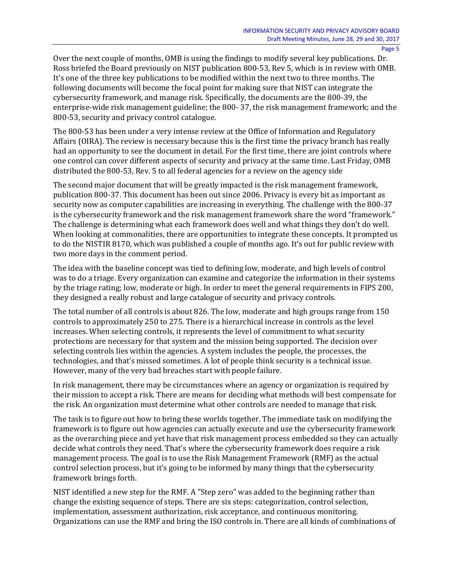Over the next couple of months, OMB is using the findings to modify several key publications. Dr. Ross briefed the Board previously on NIST publication 800-53, Rev 5, which is in review with OMB. It's one of the three key publications to be modified within the next two to three months. The following documents will become the focal point for making sure that NIST can integrate the cybersecurity framework, and manage risk. Specifically, the documents are the 800-39, the enterprise-wide risk management guideline; the 800- 37, the risk management framework; and the 800-53, security and privacy control catalogue.

The 800-53 has been under a very intense review at the Office of Information and Regulatory Affairs (OIRA). The review is necessary because this is the first time the privacy branch has really had an opportunity to see the document in detail. For the first time, there are joint controls where one control can cover different aspects of security and privacy at the same time. Last Friday, OMB distributed the 800-53, Rev. 5 to all federal agencies for a review on the agency side

The second major document that will be greatly impacted is the risk management framework, publication 800-37. This document has been out since 2006. Privacy is every bit as important as security now as computer capabilities are increasing in everything. The challenge with the 800-37 is the cybersecurity framework and the risk management framework share the word "framework." The challenge is determining what each framework does well and what things they don't do well. When looking at commonalities, there are opportunities to integrate these concepts. It prompted us to do the NISTIR 8170, which was published a couple of months ago. It's out for public review with two more days in the comment period.

The idea with the baseline concept was tied to defining low, moderate, and high levels of control was to do a triage. Every organization can examine and categorize the information in their systems by the triage rating; low, moderate or high. In order to meet the general requirements in FIPS 200, they designed a really robust and large catalogue of security and privacy controls.

The total number of all controls is about 826. The low, moderate and high groups range from 150 controls to approximately 250 to 275. There is a hierarchical increase in controls as the level increases. When selecting controls, it represents the level of commitment to what security protections are necessary for that system and the mission being supported. The decision over selecting controls lies within the agencies. A system includes the people, the processes, the technologies, and that's missed sometimes. A lot of people think security is a technical issue. However, many of the very bad breaches start with people failure.

In risk management, there may be circumstances where an agency or organization is required by their mission to accept a risk. There are means for deciding what methods will best compensate for the risk. An organization must determine what other controls are needed to manage that risk.

The task is to figure out how to bring these worlds together. The immediate task on modifying the framework is to figure out how agencies can actually execute and use the cybersecurity framework as the overarching piece and yet have that risk management process embedded so they can actually decide what controls they need. That's where the cybersecurity framework does require a risk management process. The goal is to use the Risk Management Framework (RMF) as the actual control selection process, but it's going to be informed by many things that the cybersecurity framework brings forth.

NIST identified a new step for the RMF. A "Step zero" was added to the beginning rather than change the existing sequence of steps. There are six steps: categorization, control selection, implementation, assessment authorization, risk acceptance, and continuous monitoring. Organizations can use the RMF and bring the ISO controls in. There are all kinds of combinations of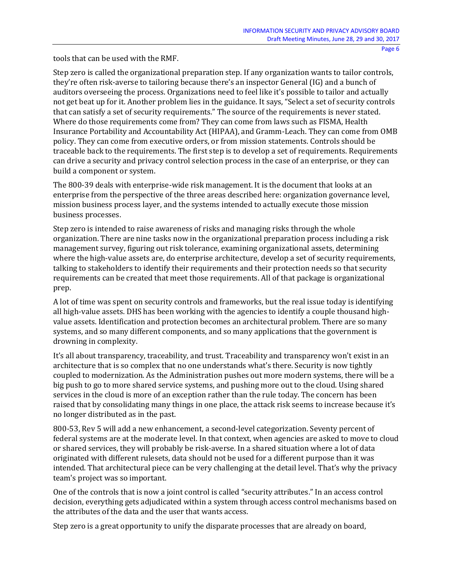tools that can be used with the RMF.

Step zero is called the organizational preparation step. If any organization wants to tailor controls, they're often risk-averse to tailoring because there's an inspector General (IG) and a bunch of auditors overseeing the process. Organizations need to feel like it's possible to tailor and actually not get beat up for it. Another problem lies in the guidance. It says, "Select a set of security controls that can satisfy a set of security requirements." The source of the requirements is never stated. Where do those requirements come from? They can come from laws such as FISMA, Health Insurance Portability and Accountability Act (HIPAA), and Gramm-Leach. They can come from OMB policy. They can come from executive orders, or from mission statements. Controls should be traceable back to the requirements. The first step is to develop a set of requirements. Requirements can drive a security and privacy control selection process in the case of an enterprise, or they can build a component or system.

The 800-39 deals with enterprise-wide risk management. It is the document that looks at an enterprise from the perspective of the three areas described here: organization governance level, mission business process layer, and the systems intended to actually execute those mission business processes.

Step zero is intended to raise awareness of risks and managing risks through the whole organization. There are nine tasks now in the organizational preparation process including a risk management survey, figuring out risk tolerance, examining organizational assets, determining where the high-value assets are, do enterprise architecture, develop a set of security requirements, talking to stakeholders to identify their requirements and their protection needs so that security requirements can be created that meet those requirements. All of that package is organizational prep.

A lot of time was spent on security controls and frameworks, but the real issue today is identifying all high-value assets. DHS has been working with the agencies to identify a couple thousand highvalue assets. Identification and protection becomes an architectural problem. There are so many systems, and so many different components, and so many applications that the government is drowning in complexity.

It's all about transparency, traceability, and trust. Traceability and transparency won't exist in an architecture that is so complex that no one understands what's there. Security is now tightly coupled to modernization. As the Administration pushes out more modern systems, there will be a big push to go to more shared service systems, and pushing more out to the cloud. Using shared services in the cloud is more of an exception rather than the rule today. The concern has been raised that by consolidating many things in one place, the attack risk seems to increase because it's no longer distributed as in the past.

800-53, Rev 5 will add a new enhancement, a second-level categorization. Seventy percent of federal systems are at the moderate level. In that context, when agencies are asked to move to cloud or shared services, they will probably be risk-averse. In a shared situation where a lot of data originated with different rulesets, data should not be used for a different purpose than it was intended. That architectural piece can be very challenging at the detail level. That's why the privacy team's project was so important.

One of the controls that is now a joint control is called "security attributes." In an access control decision, everything gets adjudicated within a system through access control mechanisms based on the attributes of the data and the user that wants access.

Step zero is a great opportunity to unify the disparate processes that are already on board,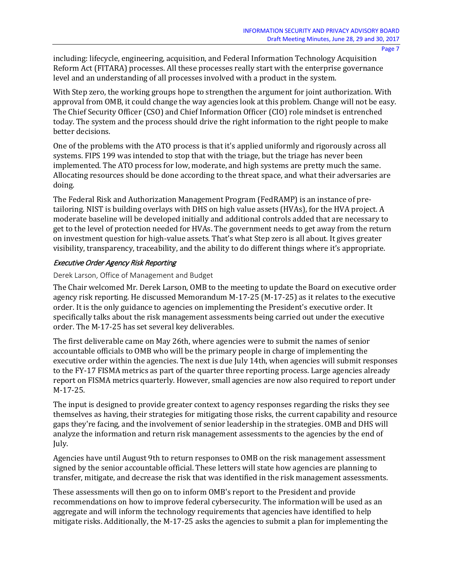including: lifecycle, engineering, acquisition, and Federal Information Technology Acquisition Reform Act (FITARA) processes. All these processes really start with the enterprise governance level and an understanding of all processes involved with a product in the system.

With Step zero, the working groups hope to strengthen the argument for joint authorization. With approval from OMB, it could change the way agencies look at this problem. Change will not be easy. The Chief Security Officer (CSO) and Chief Information Officer (CIO) role mindset is entrenched today. The system and the process should drive the right information to the right people to make better decisions.

One of the problems with the ATO process is that it's applied uniformly and rigorously across all systems. FIPS 199 was intended to stop that with the triage, but the triage has never been implemented. The ATO process for low, moderate, and high systems are pretty much the same. Allocating resources should be done according to the threat space, and what their adversaries are doing.

The Federal Risk and Authorization Management Program (FedRAMP) is an instance of pretailoring. NIST is building overlays with DHS on high value assets (HVAs), for the HVA project. A moderate baseline will be developed initially and additional controls added that are necessary to get to the level of protection needed for HVAs. The government needs to get away from the return on investment question for high-value assets. That's what Step zero is all about. It gives greater visibility, transparency, traceability, and the ability to do different things where it's appropriate.

## Executive Order Agency Risk Reporting

## Derek Larson, Office of Management and Budget

The Chair welcomed Mr. Derek Larson, OMB to the meeting to update the Board on executive order agency risk reporting. He discussed Memorandum M-17-25 (M-17-25) as it relates to the executive order. It is the only guidance to agencies on implementing the President's executive order. It specifically talks about the risk management assessments being carried out under the executive order. The M-17-25 has set several key deliverables.

The first deliverable came on May 26th, where agencies were to submit the names of senior accountable officials to OMB who will be the primary people in charge of implementing the executive order within the agencies. The next is due July 14th, when agencies will submit responses to the FY-17 FISMA metrics as part of the quarter three reporting process. Large agencies already report on FISMA metrics quarterly. However, small agencies are now also required to report under M-17-25.

The input is designed to provide greater context to agency responses regarding the risks they see themselves as having, their strategies for mitigating those risks, the current capability and resource gaps they're facing, and the involvement of senior leadership in the strategies. OMB and DHS will analyze the information and return risk management assessments to the agencies by the end of July.

Agencies have until August 9th to return responses to OMB on the risk management assessment signed by the senior accountable official. These letters will state how agencies are planning to transfer, mitigate, and decrease the risk that was identified in the risk management assessments.

These assessments will then go on to inform OMB's report to the President and provide recommendations on how to improve federal cybersecurity. The information will be used as an aggregate and will inform the technology requirements that agencies have identified to help mitigate risks. Additionally, the M-17-25 asks the agencies to submit a plan for implementing the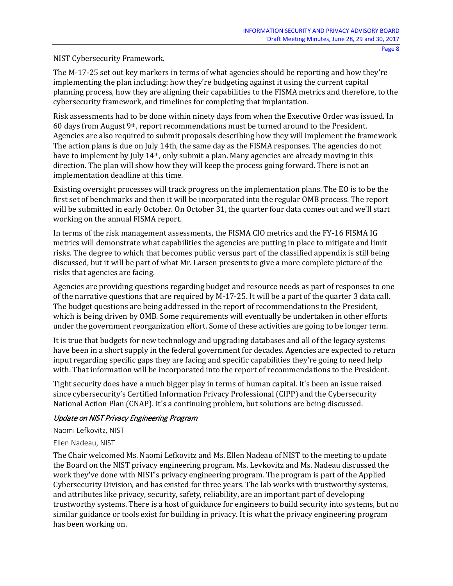NIST Cybersecurity Framework.

The M-17-25 set out key markers in terms of what agencies should be reporting and how they're implementing the plan including: how they're budgeting against it using the current capital planning process, how they are aligning their capabilities to the FISMA metrics and therefore, to the cybersecurity framework, and timelines for completing that implantation.

Risk assessments had to be done within ninety days from when the Executive Order was issued. In 60 days from August 9th, report recommendations must be turned around to the President. Agencies are also required to submit proposals describing how they will implement the framework. The action plans is due on July 14th, the same day as the FISMA responses. The agencies do not have to implement by July 14<sup>th</sup>, only submit a plan. Many agencies are already moving in this direction. The plan will show how they will keep the process going forward. There is not an implementation deadline at this time.

Existing oversight processes will track progress on the implementation plans. The EO is to be the first set of benchmarks and then it will be incorporated into the regular OMB process. The report will be submitted in early October. On October 31, the quarter four data comes out and we'll start working on the annual FISMA report.

In terms of the risk management assessments, the FISMA CIO metrics and the FY-16 FISMA IG metrics will demonstrate what capabilities the agencies are putting in place to mitigate and limit risks. The degree to which that becomes public versus part of the classified appendix is still being discussed, but it will be part of what Mr. Larsen presents to give a more complete picture of the risks that agencies are facing.

Agencies are providing questions regarding budget and resource needs as part of responses to one of the narrative questions that are required by M-17-25. It will be a part of the quarter 3 data call. The budget questions are being addressed in the report of recommendations to the President, which is being driven by OMB. Some requirements will eventually be undertaken in other efforts under the government reorganization effort. Some of these activities are going to be longer term.

It is true that budgets for new technology and upgrading databases and all of the legacy systems have been in a short supply in the federal government for decades. Agencies are expected to return input regarding specific gaps they are facing and specific capabilities they're going to need help with. That information will be incorporated into the report of recommendations to the President.

Tight security does have a much bigger play in terms of human capital. It's been an issue raised since cybersecurity's Certified Information Privacy Professional (CIPP) and the Cybersecurity National Action Plan (CNAP). It's a continuing problem, but solutions are being discussed.

## Update on NIST Privacy Engineering Program

Naomi Lefkovitz, NIST

## Ellen Nadeau, NIST

The Chair welcomed Ms. Naomi Lefkovitz and Ms. Ellen Nadeau of NIST to the meeting to update the Board on the NIST privacy engineering program. Ms. Levkovitz and Ms. Nadeau discussed the work they've done with NIST's privacy engineering program. The program is part of the Applied Cybersecurity Division, and has existed for three years. The lab works with trustworthy systems, and attributes like privacy, security, safety, reliability, are an important part of developing trustworthy systems. There is a host of guidance for engineers to build security into systems, but no similar guidance or tools exist for building in privacy. It is what the privacy engineering program has been working on.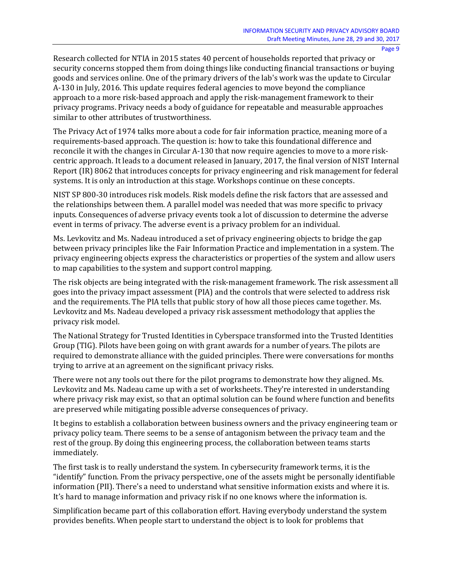Research collected for NTIA in 2015 states 40 percent of households reported that privacy or security concerns stopped them from doing things like conducting financial transactions or buying goods and services online. One of the primary drivers of the lab's work was the update to Circular A-130 in July, 2016. This update requires federal agencies to move beyond the compliance approach to a more risk-based approach and apply the risk-management framework to their privacy programs. Privacy needs a body of guidance for repeatable and measurable approaches similar to other attributes of trustworthiness.

The Privacy Act of 1974 talks more about a code for fair information practice, meaning more of a requirements-based approach. The question is: how to take this foundational difference and reconcile it with the changes in Circular A-130 that now require agencies to move to a more riskcentric approach. It leads to a document released in January, 2017, the final version of NIST Internal Report (IR) 8062 that introduces concepts for privacy engineering and risk management for federal systems. It is only an introduction at this stage. Workshops continue on these concepts.

NIST SP 800-30 introduces risk models. Risk models define the risk factors that are assessed and the relationships between them. A parallel model was needed that was more specific to privacy inputs. Consequences of adverse privacy events took a lot of discussion to determine the adverse event in terms of privacy. The adverse event is a privacy problem for an individual.

Ms. Levkovitz and Ms. Nadeau introduced a set of privacy engineering objects to bridge the gap between privacy principles like the Fair Information Practice and implementation in a system. The privacy engineering objects express the characteristics or properties of the system and allow users to map capabilities to the system and support control mapping.

The risk objects are being integrated with the risk-management framework. The risk assessment all goes into the privacy impact assessment (PIA) and the controls that were selected to address risk and the requirements. The PIA tells that public story of how all those pieces came together. Ms. Levkovitz and Ms. Nadeau developed a privacy risk assessment methodology that applies the privacy risk model.

The National Strategy for Trusted Identities in Cyberspace transformed into the Trusted Identities Group (TIG). Pilots have been going on with grant awards for a number of years. The pilots are required to demonstrate alliance with the guided principles. There were conversations for months trying to arrive at an agreement on the significant privacy risks.

There were not any tools out there for the pilot programs to demonstrate how they aligned. Ms. Levkovitz and Ms. Nadeau came up with a set of worksheets. They're interested in understanding where privacy risk may exist, so that an optimal solution can be found where function and benefits are preserved while mitigating possible adverse consequences of privacy.

It begins to establish a collaboration between business owners and the privacy engineering team or privacy policy team. There seems to be a sense of antagonism between the privacy team and the rest of the group. By doing this engineering process, the collaboration between teams starts immediately.

The first task is to really understand the system. In cybersecurity framework terms, it is the "identify" function. From the privacy perspective, one of the assets might be personally identifiable information (PII). There's a need to understand what sensitive information exists and where it is. It's hard to manage information and privacy risk if no one knows where the information is.

Simplification became part of this collaboration effort. Having everybody understand the system provides benefits. When people start to understand the object is to look for problems that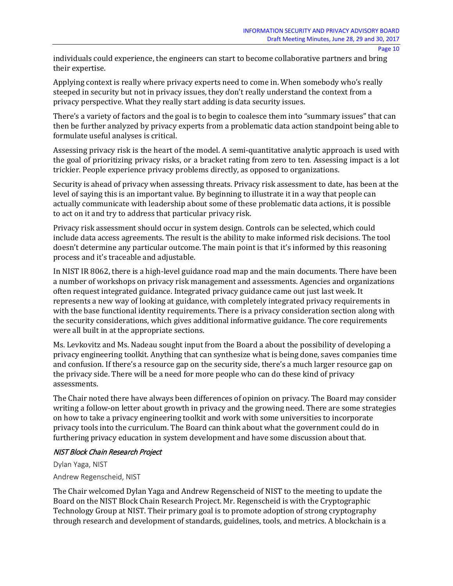individuals could experience, the engineers can start to become collaborative partners and bring their expertise.

Applying context is really where privacy experts need to come in. When somebody who's really steeped in security but not in privacy issues, they don't really understand the context from a privacy perspective. What they really start adding is data security issues.

There's a variety of factors and the goal is to begin to coalesce them into "summary issues" that can then be further analyzed by privacy experts from a problematic data action standpoint being able to formulate useful analyses is critical.

Assessing privacy risk is the heart of the model. A semi-quantitative analytic approach is used with the goal of prioritizing privacy risks, or a bracket rating from zero to ten. Assessing impact is a lot trickier. People experience privacy problems directly, as opposed to organizations.

Security is ahead of privacy when assessing threats. Privacy risk assessment to date, has been at the level of saying this is an important value. By beginning to illustrate it in a way that people can actually communicate with leadership about some of these problematic data actions, it is possible to act on it and try to address that particular privacy risk.

Privacy risk assessment should occur in system design. Controls can be selected, which could include data access agreements. The result is the ability to make informed risk decisions. The tool doesn't determine any particular outcome. The main point is that it's informed by this reasoning process and it's traceable and adjustable.

In NIST IR 8062, there is a high-level guidance road map and the main documents. There have been a number of workshops on privacy risk management and assessments. Agencies and organizations often request integrated guidance. Integrated privacy guidance came out just last week. It represents a new way of looking at guidance, with completely integrated privacy requirements in with the base functional identity requirements. There is a privacy consideration section along with the security considerations, which gives additional informative guidance. The core requirements were all built in at the appropriate sections.

Ms. Levkovitz and Ms. Nadeau sought input from the Board a about the possibility of developing a privacy engineering toolkit. Anything that can synthesize what is being done, saves companies time and confusion. If there's a resource gap on the security side, there's a much larger resource gap on the privacy side. There will be a need for more people who can do these kind of privacy assessments.

The Chair noted there have always been differences of opinion on privacy. The Board may consider writing a follow-on letter about growth in privacy and the growing need. There are some strategies on how to take a privacy engineering toolkit and work with some universities to incorporate privacy tools into the curriculum. The Board can think about what the government could do in furthering privacy education in system development and have some discussion about that.

## NIST Block Chain Research Project

Dylan Yaga, NIST

Andrew Regenscheid, NIST

The Chair welcomed Dylan Yaga and Andrew Regenscheid of NIST to the meeting to update the Board on the NIST Block Chain Research Project. Mr. Regenscheid is with the Cryptographic Technology Group at NIST. Their primary goal is to promote adoption of strong cryptography through research and development of standards, guidelines, tools, and metrics. A blockchain is a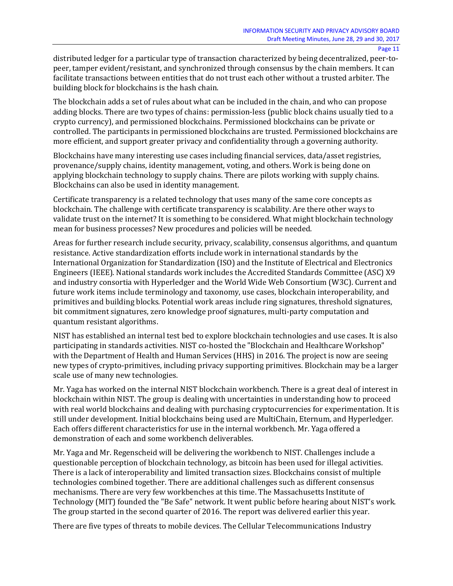distributed ledger for a particular type of transaction characterized by being decentralized, peer-topeer, tamper evident/resistant, and synchronized through consensus by the chain members. It can facilitate transactions between entities that do not trust each other without a trusted arbiter. The building block for blockchains is the hash chain.

The blockchain adds a set of rules about what can be included in the chain, and who can propose adding blocks. There are two types of chains: permission-less (public block chains usually tied to a crypto currency), and permissioned blockchains. Permissioned blockchains can be private or controlled. The participants in permissioned blockchains are trusted. Permissioned blockchains are more efficient, and support greater privacy and confidentiality through a governing authority.

Blockchains have many interesting use cases including financial services, data/asset registries, provenance/supply chains, identity management, voting, and others. Work is being done on applying blockchain technology to supply chains. There are pilots working with supply chains. Blockchains can also be used in identity management.

Certificate transparency is a related technology that uses many of the same core concepts as blockchain. The challenge with certificate transparency is scalability. Are there other ways to validate trust on the internet? It is something to be considered. What might blockchain technology mean for business processes? New procedures and policies will be needed.

Areas for further research include security, privacy, scalability, consensus algorithms, and quantum resistance. Active standardization efforts include work in international standards by the International Organization for Standardization (ISO) and the Institute of Electrical and Electronics Engineers (IEEE). National standards work includes the Accredited Standards Committee (ASC) X9 and industry consortia with Hyperledger and the World Wide Web Consortium (W3C). Current and future work items include terminology and taxonomy, use cases, blockchain interoperability, and primitives and building blocks. Potential work areas include ring signatures, threshold signatures, bit commitment signatures, zero knowledge proof signatures, multi-party computation and quantum resistant algorithms.

NIST has established an internal test bed to explore blockchain technologies and use cases. It is also participating in standards activities. NIST co-hosted the "Blockchain and Healthcare Workshop" with the Department of Health and Human Services (HHS) in 2016. The project is now are seeing new types of crypto-primitives, including privacy supporting primitives. Blockchain may be a larger scale use of many new technologies.

Mr. Yaga has worked on the internal NIST blockchain workbench. There is a great deal of interest in blockchain within NIST. The group is dealing with uncertainties in understanding how to proceed with real world blockchains and dealing with purchasing cryptocurrencies for experimentation. It is still under development. Initial blockchains being used are MultiChain, Eternum, and Hyperledger. Each offers different characteristics for use in the internal workbench. Mr. Yaga offered a demonstration of each and some workbench deliverables.

Mr. Yaga and Mr. Regenscheid will be delivering the workbench to NIST. Challenges include a questionable perception of blockchain technology, as bitcoin has been used for illegal activities. There is a lack of interoperability and limited transaction sizes. Blockchains consist of multiple technologies combined together. There are additional challenges such as different consensus mechanisms. There are very few workbenches at this time. The Massachusetts Institute of Technology (MIT) founded the "Be Safe" network. It went public before hearing about NIST's work. The group started in the second quarter of 2016. The report was delivered earlier this year.

There are five types of threats to mobile devices. The Cellular Telecommunications Industry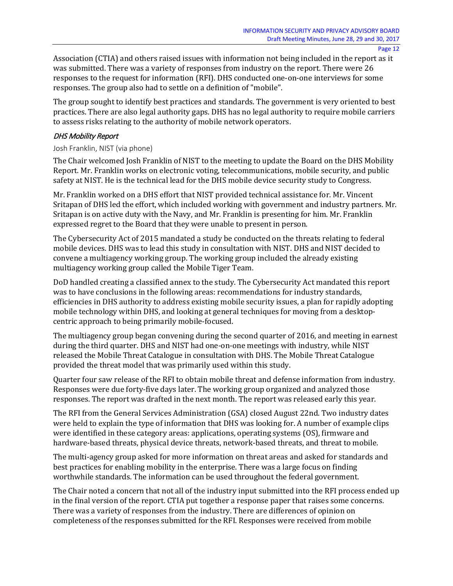Association (CTIA) and others raised issues with information not being included in the report as it was submitted. There was a variety of responses from industry on the report. There were 26 responses to the request for information (RFI). DHS conducted one-on-one interviews for some responses. The group also had to settle on a definition of "mobile".

The group sought to identify best practices and standards. The government is very oriented to best practices. There are also legal authority gaps. DHS has no legal authority to require mobile carriers to assess risks relating to the authority of mobile network operators.

#### DHS Mobility Report

#### Josh Franklin, NIST (via phone)

The Chair welcomed Josh Franklin of NIST to the meeting to update the Board on the DHS Mobility Report. Mr. Franklin works on electronic voting, telecommunications, mobile security, and public safety at NIST. He is the technical lead for the DHS mobile device security study to Congress.

Mr. Franklin worked on a DHS effort that NIST provided technical assistance for. Mr. Vincent Sritapan of DHS led the effort, which included working with government and industry partners. Mr. Sritapan is on active duty with the Navy, and Mr. Franklin is presenting for him. Mr. Franklin expressed regret to the Board that they were unable to present in person.

The Cybersecurity Act of 2015 mandated a study be conducted on the threats relating to federal mobile devices. DHS was to lead this study in consultation with NIST. DHS and NIST decided to convene a multiagency working group. The working group included the already existing multiagency working group called the Mobile Tiger Team.

DoD handled creating a classified annex to the study. The Cybersecurity Act mandated this report was to have conclusions in the following areas: recommendations for industry standards, efficiencies in DHS authority to address existing mobile security issues, a plan for rapidly adopting mobile technology within DHS, and looking at general techniques for moving from a desktopcentric approach to being primarily mobile-focused.

The multiagency group began convening during the second quarter of 2016, and meeting in earnest during the third quarter. DHS and NIST had one-on-one meetings with industry, while NIST released the Mobile Threat Catalogue in consultation with DHS. The Mobile Threat Catalogue provided the threat model that was primarily used within this study.

Quarter four saw release of the RFI to obtain mobile threat and defense information from industry. Responses were due forty-five days later. The working group organized and analyzed those responses. The report was drafted in the next month. The report was released early this year.

The RFI from the General Services Administration (GSA) closed August 22nd. Two industry dates were held to explain the type of information that DHS was looking for. A number of example clips were identified in these category areas: applications, operating systems (OS), firmware and hardware-based threats, physical device threats, network-based threats, and threat to mobile.

The multi-agency group asked for more information on threat areas and asked for standards and best practices for enabling mobility in the enterprise. There was a large focus on finding worthwhile standards. The information can be used throughout the federal government.

The Chair noted a concern that not all of the industry input submitted into the RFI process ended up in the final version of the report. CTIA put together a response paper that raises some concerns. There was a variety of responses from the industry. There are differences of opinion on completeness of the responses submitted for the RFI. Responses were received from mobile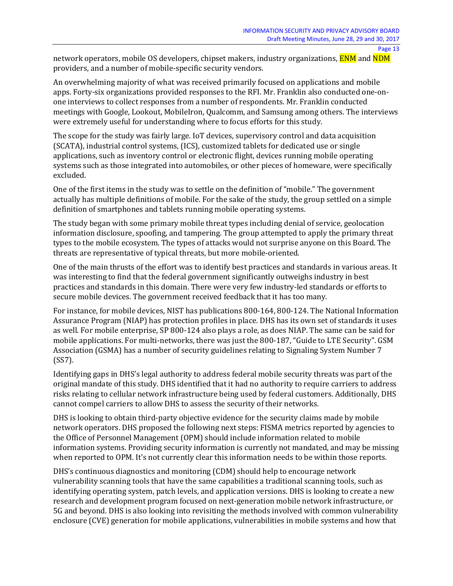network operators, mobile OS developers, chipset makers, industry organizations, **ENM** and **NDM** providers, and a number of mobile-specific security vendors.

An overwhelming majority of what was received primarily focused on applications and mobile apps. Forty-six organizations provided responses to the RFI. Mr. Franklin also conducted one-onone interviews to collect responses from a number of respondents. Mr. Franklin conducted meetings with Google, Lookout, MobileIron, Qualcomm, and Samsung among others. The interviews were extremely useful for understanding where to focus efforts for this study.

The scope for the study was fairly large. IoT devices, supervisory control and data acquisition (SCATA), industrial control systems, (ICS), customized tablets for dedicated use or single applications, such as inventory control or electronic flight, devices running mobile operating systems such as those integrated into automobiles, or other pieces of homeware, were specifically excluded.

One of the first items in the study was to settle on the definition of "mobile." The government actually has multiple definitions of mobile. For the sake of the study, the group settled on a simple definition of smartphones and tablets running mobile operating systems.

The study began with some primary mobile threat types including denial of service, geolocation information disclosure, spoofing, and tampering. The group attempted to apply the primary threat types to the mobile ecosystem. The types of attacks would not surprise anyone on this Board. The threats are representative of typical threats, but more mobile-oriented.

One of the main thrusts of the effort was to identify best practices and standards in various areas. It was interesting to find that the federal government significantly outweighs industry in best practices and standards in this domain. There were very few industry-led standards or efforts to secure mobile devices. The government received feedback that it has too many.

For instance, for mobile devices, NIST has publications 800-164, 800-124. The National Information Assurance Program (NIAP) has protection profiles in place. DHS has its own set of standards it uses as well. For mobile enterprise, SP 800-124 also plays a role, as does NIAP. The same can be said for mobile applications. For multi-networks, there was just the 800-187, "Guide to LTE Security". GSM Association (GSMA) has a number of security guidelines relating to Signaling System Number 7 (SS7).

Identifying gaps in DHS's legal authority to address federal mobile security threats was part of the original mandate of this study. DHS identified that it had no authority to require carriers to address risks relating to cellular network infrastructure being used by federal customers. Additionally, DHS cannot compel carriers to allow DHS to assess the security of their networks.

DHS is looking to obtain third-party objective evidence for the security claims made by mobile network operators. DHS proposed the following next steps: FISMA metrics reported by agencies to the Office of Personnel Management (OPM) should include information related to mobile information systems. Providing security information is currently not mandated, and may be missing when reported to OPM. It's not currently clear this information needs to be within those reports.

DHS's continuous diagnostics and monitoring (CDM) should help to encourage network vulnerability scanning tools that have the same capabilities a traditional scanning tools, such as identifying operating system, patch levels, and application versions. DHS is looking to create a new research and development program focused on next-generation mobile network infrastructure, or 5G and beyond. DHS is also looking into revisiting the methods involved with common vulnerability enclosure (CVE) generation for mobile applications, vulnerabilities in mobile systems and how that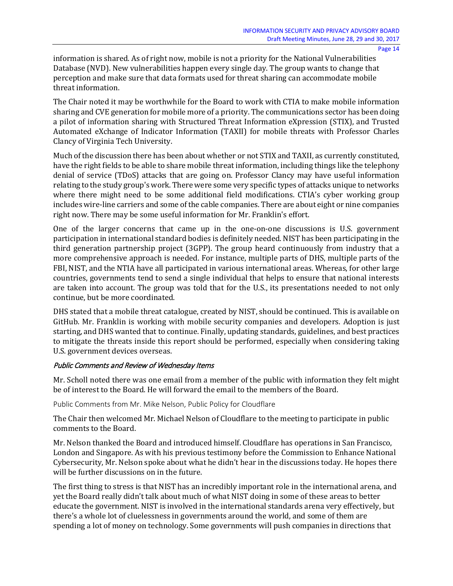information is shared. As of right now, mobile is not a priority for the National Vulnerabilities Database (NVD). New vulnerabilities happen every single day. The group wants to change that perception and make sure that data formats used for threat sharing can accommodate mobile threat information.

The Chair noted it may be worthwhile for the Board to work with CTIA to make mobile information sharing and CVE generation for mobile more of a priority. The communications sector has been doing a pilot of information sharing with Structured Threat Information eXpression (STIX), and Trusted Automated eXchange of Indicator Information (TAXII) for mobile threats with Professor Charles Clancy of Virginia Tech University.

Much of the discussion there has been about whether or not STIX and TAXII, as currently constituted, have the right fields to be able to share mobile threat information, including things like the telephony denial of service (TDoS) attacks that are going on. Professor Clancy may have useful information relating to the study group's work. There were some very specific types of attacks unique to networks where there might need to be some additional field modifications. CTIA's cyber working group includes wire-line carriers and some of the cable companies. There are about eight or nine companies right now. There may be some useful information for Mr. Franklin's effort.

One of the larger concerns that came up in the one-on-one discussions is U.S. government participation in international standard bodies is definitely needed. NIST has been participating in the third generation partnership project (3GPP). The group heard continuously from industry that a more comprehensive approach is needed. For instance, multiple parts of DHS, multiple parts of the FBI, NIST, and the NTIA have all participated in various international areas. Whereas, for other large countries, governments tend to send a single individual that helps to ensure that national interests are taken into account. The group was told that for the U.S., its presentations needed to not only continue, but be more coordinated.

DHS stated that a mobile threat catalogue, created by NIST, should be continued. This is available on GitHub. Mr. Franklin is working with mobile security companies and developers. Adoption is just starting, and DHS wanted that to continue. Finally, updating standards, guidelines, and best practices to mitigate the threats inside this report should be performed, especially when considering taking U.S. government devices overseas.

## Public Comments and Review of Wednesday Items

Mr. Scholl noted there was one email from a member of the public with information they felt might be of interest to the Board. He will forward the email to the members of the Board.

Public Comments from Mr. Mike Nelson, Public Policy for Cloudflare

The Chair then welcomed Mr. Michael Nelson of Cloudflare to the meeting to participate in public comments to the Board.

Mr. Nelson thanked the Board and introduced himself. Cloudflare has operations in San Francisco, London and Singapore. As with his previous testimony before the Commission to Enhance National Cybersecurity, Mr. Nelson spoke about what he didn't hear in the discussions today. He hopes there will be further discussions on in the future.

The first thing to stress is that NIST has an incredibly important role in the international arena, and yet the Board really didn't talk about much of what NIST doing in some of these areas to better educate the government. NIST is involved in the international standards arena very effectively, but there's a whole lot of cluelessness in governments around the world, and some of them are spending a lot of money on technology. Some governments will push companies in directions that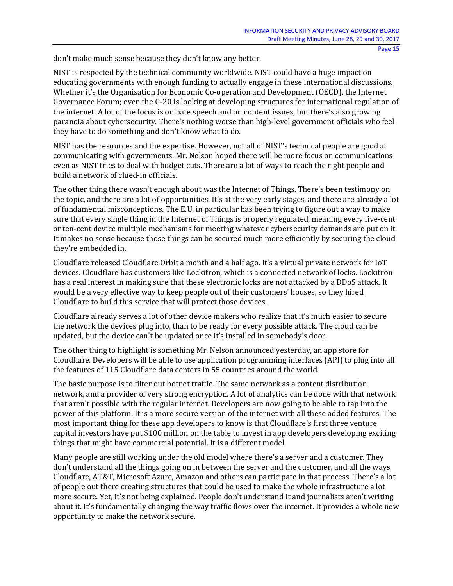don't make much sense because they don't know any better.

NIST is respected by the technical community worldwide. NIST could have a huge impact on educating governments with enough funding to actually engage in these international discussions. Whether it's the Organisation for Economic Co-operation and Development (OECD), the Internet Governance Forum; even the G-20 is looking at developing structures for international regulation of the internet. A lot of the focus is on hate speech and on content issues, but there's also growing paranoia about cybersecurity. There's nothing worse than high-level government officials who feel they have to do something and don't know what to do.

NIST has the resources and the expertise. However, not all of NIST's technical people are good at communicating with governments. Mr. Nelson hoped there will be more focus on communications even as NIST tries to deal with budget cuts. There are a lot of ways to reach the right people and build a network of clued-in officials.

The other thing there wasn't enough about was the Internet of Things. There's been testimony on the topic, and there are a lot of opportunities. It's at the very early stages, and there are already a lot of fundamental misconceptions. The E.U. in particular has been trying to figure out a way to make sure that every single thing in the Internet of Things is properly regulated, meaning every five-cent or ten-cent device multiple mechanisms for meeting whatever cybersecurity demands are put on it. It makes no sense because those things can be secured much more efficiently by securing the cloud they're embedded in.

Cloudflare released Cloudflare Orbit a month and a half ago. It's a virtual private network for IoT devices. Cloudflare has customers like Lockitron, which is a connected network of locks. Lockitron has a real interest in making sure that these electronic locks are not attacked by a DDoS attack. It would be a very effective way to keep people out of their customers' houses, so they hired Cloudflare to build this service that will protect those devices.

Cloudflare already serves a lot of other device makers who realize that it's much easier to secure the network the devices plug into, than to be ready for every possible attack. The cloud can be updated, but the device can't be updated once it's installed in somebody's door.

The other thing to highlight is something Mr. Nelson announced yesterday, an app store for Cloudflare. Developers will be able to use application programming interfaces (API) to plug into all the features of 115 Cloudflare data centers in 55 countries around the world.

The basic purpose is to filter out botnet traffic. The same network as a content distribution network, and a provider of very strong encryption. A lot of analytics can be done with that network that aren't possible with the regular internet. Developers are now going to be able to tap into the power of this platform. It is a more secure version of the internet with all these added features. The most important thing for these app developers to know is that Cloudflare's first three venture capital investors have put \$100 million on the table to invest in app developers developing exciting things that might have commercial potential. It is a different model.

Many people are still working under the old model where there's a server and a customer. They don't understand all the things going on in between the server and the customer, and all the ways Cloudflare, AT&T, Microsoft Azure, Amazon and others can participate in that process. There's a lot of people out there creating structures that could be used to make the whole infrastructure a lot more secure. Yet, it's not being explained. People don't understand it and journalists aren't writing about it. It's fundamentally changing the way traffic flows over the internet. It provides a whole new opportunity to make the network secure.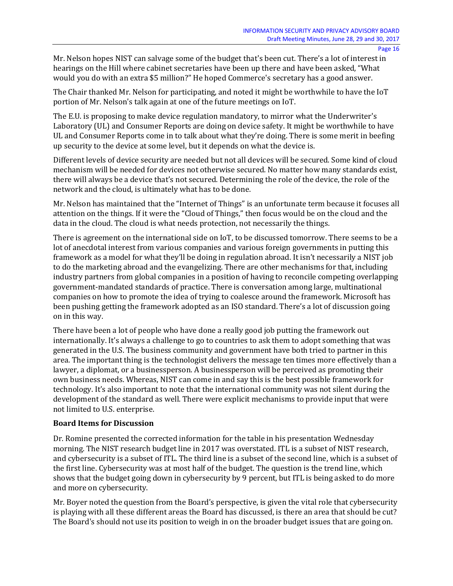Mr. Nelson hopes NIST can salvage some of the budget that's been cut. There's a lot of interest in hearings on the Hill where cabinet secretaries have been up there and have been asked, "What would you do with an extra \$5 million?" He hoped Commerce's secretary has a good answer.

The Chair thanked Mr. Nelson for participating, and noted it might be worthwhile to have the IoT portion of Mr. Nelson's talk again at one of the future meetings on IoT.

The E.U. is proposing to make device regulation mandatory, to mirror what the Underwriter's Laboratory (UL) and Consumer Reports are doing on device safety. It might be worthwhile to have UL and Consumer Reports come in to talk about what they're doing. There is some merit in beefing up security to the device at some level, but it depends on what the device is.

Different levels of device security are needed but not all devices will be secured. Some kind of cloud mechanism will be needed for devices not otherwise secured. No matter how many standards exist, there will always be a device that's not secured. Determining the role of the device, the role of the network and the cloud, is ultimately what has to be done.

Mr. Nelson has maintained that the "Internet of Things" is an unfortunate term because it focuses all attention on the things. If it were the "Cloud of Things," then focus would be on the cloud and the data in the cloud. The cloud is what needs protection, not necessarily the things.

There is agreement on the international side on IoT, to be discussed tomorrow. There seems to be a lot of anecdotal interest from various companies and various foreign governments in putting this framework as a model for what they'll be doing in regulation abroad. It isn't necessarily a NIST job to do the marketing abroad and the evangelizing. There are other mechanisms for that, including industry partners from global companies in a position of having to reconcile competing overlapping government-mandated standards of practice. There is conversation among large, multinational companies on how to promote the idea of trying to coalesce around the framework. Microsoft has been pushing getting the framework adopted as an ISO standard. There's a lot of discussion going on in this way.

There have been a lot of people who have done a really good job putting the framework out internationally. It's always a challenge to go to countries to ask them to adopt something that was generated in the U.S. The business community and government have both tried to partner in this area. The important thing is the technologist delivers the message ten times more effectively than a lawyer, a diplomat, or a businessperson. A businessperson will be perceived as promoting their own business needs. Whereas, NIST can come in and say this is the best possible framework for technology. It's also important to note that the international community was not silent during the development of the standard as well. There were explicit mechanisms to provide input that were not limited to U.S. enterprise.

## **Board Items for Discussion**

Dr. Romine presented the corrected information for the table in his presentation Wednesday morning. The NIST research budget line in 2017 was overstated. ITL is a subset of NIST research, and cybersecurity is a subset of ITL. The third line is a subset of the second line, which is a subset of the first line. Cybersecurity was at most half of the budget. The question is the trend line, which shows that the budget going down in cybersecurity by 9 percent, but ITL is being asked to do more and more on cybersecurity.

Mr. Boyer noted the question from the Board's perspective, is given the vital role that cybersecurity is playing with all these different areas the Board has discussed, is there an area that should be cut? The Board's should not use its position to weigh in on the broader budget issues that are going on.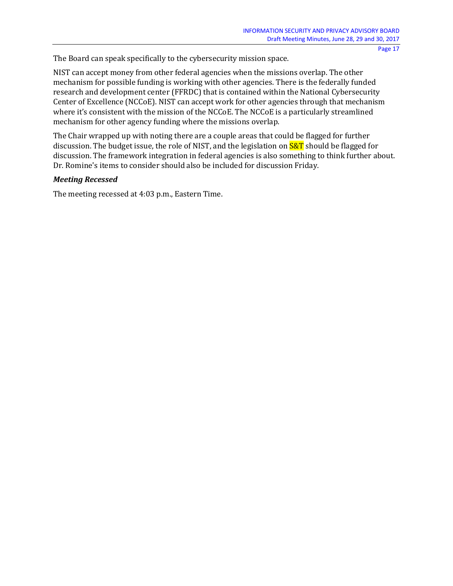The Board can speak specifically to the cybersecurity mission space.

NIST can accept money from other federal agencies when the missions overlap. The other mechanism for possible funding is working with other agencies. There is the federally funded research and development center (FFRDC) that is contained within the National Cybersecurity Center of Excellence (NCCoE). NIST can accept work for other agencies through that mechanism where it's consistent with the mission of the NCCoE. The NCCoE is a particularly streamlined mechanism for other agency funding where the missions overlap.

The Chair wrapped up with noting there are a couple areas that could be flagged for further discussion. The budget issue, the role of NIST, and the legislation on  $S\&T$  should be flagged for discussion. The framework integration in federal agencies is also something to think further about. Dr. Romine's items to consider should also be included for discussion Friday.

## *Meeting Recessed*

The meeting recessed at 4:03 p.m., Eastern Time.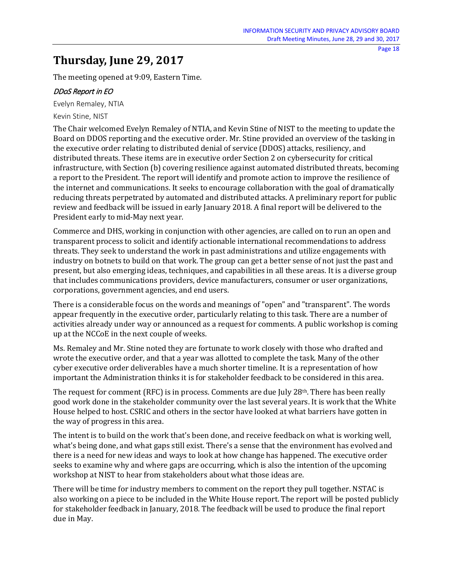## **Thursday, June 29, 2017**

The meeting opened at 9:09, Eastern Time.

## DDoS Report in EO

Evelyn Remaley, NTIA

Kevin Stine, NIST

The Chair welcomed Evelyn Remaley of NTIA, and Kevin Stine of NIST to the meeting to update the Board on DDOS reporting and the executive order. Mr. Stine provided an overview of the tasking in the executive order relating to distributed denial of service (DDOS) attacks, resiliency, and distributed threats. These items are in executive order Section 2 on cybersecurity for critical infrastructure, with Section (b) covering resilience against automated distributed threats, becoming a report to the President. The report will identify and promote action to improve the resilience of the internet and communications. It seeks to encourage collaboration with the goal of dramatically reducing threats perpetrated by automated and distributed attacks. A preliminary report for public review and feedback will be issued in early January 2018. A final report will be delivered to the President early to mid-May next year.

Commerce and DHS, working in conjunction with other agencies, are called on to run an open and transparent process to solicit and identify actionable international recommendations to address threats. They seek to understand the work in past administrations and utilize engagements with industry on botnets to build on that work. The group can get a better sense of not just the past and present, but also emerging ideas, techniques, and capabilities in all these areas. It is a diverse group that includes communications providers, device manufacturers, consumer or user organizations, corporations, government agencies, and end users.

There is a considerable focus on the words and meanings of "open" and "transparent". The words appear frequently in the executive order, particularly relating to this task. There are a number of activities already under way or announced as a request for comments. A public workshop is coming up at the NCCoE in the next couple of weeks.

Ms. Remaley and Mr. Stine noted they are fortunate to work closely with those who drafted and wrote the executive order, and that a year was allotted to complete the task. Many of the other cyber executive order deliverables have a much shorter timeline. It is a representation of how important the Administration thinks it is for stakeholder feedback to be considered in this area.

The request for comment (RFC) is in process. Comments are due July  $28<sup>th</sup>$ . There has been really good work done in the stakeholder community over the last several years. It is work that the White House helped to host. CSRIC and others in the sector have looked at what barriers have gotten in the way of progress in this area.

The intent is to build on the work that's been done, and receive feedback on what is working well, what's being done, and what gaps still exist. There's a sense that the environment has evolved and there is a need for new ideas and ways to look at how change has happened. The executive order seeks to examine why and where gaps are occurring, which is also the intention of the upcoming workshop at NIST to hear from stakeholders about what those ideas are.

There will be time for industry members to comment on the report they pull together. NSTAC is also working on a piece to be included in the White House report. The report will be posted publicly for stakeholder feedback in January, 2018. The feedback will be used to produce the final report due in May.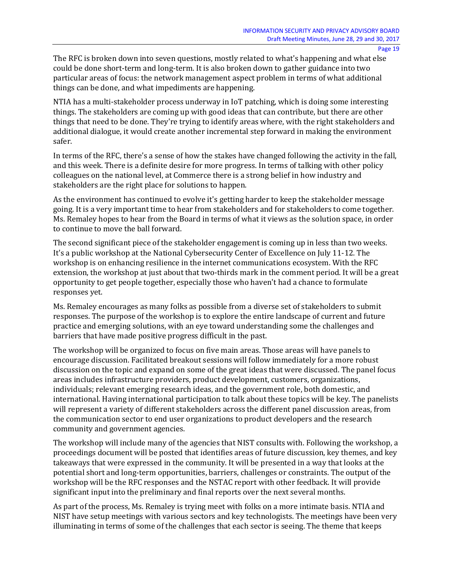The RFC is broken down into seven questions, mostly related to what's happening and what else could be done short-term and long-term. It is also broken down to gather guidance into two particular areas of focus: the network management aspect problem in terms of what additional things can be done, and what impediments are happening.

NTIA has a multi-stakeholder process underway in IoT patching, which is doing some interesting things. The stakeholders are coming up with good ideas that can contribute, but there are other things that need to be done. They're trying to identify areas where, with the right stakeholders and additional dialogue, it would create another incremental step forward in making the environment safer.

In terms of the RFC, there's a sense of how the stakes have changed following the activity in the fall, and this week. There is a definite desire for more progress. In terms of talking with other policy colleagues on the national level, at Commerce there is a strong belief in how industry and stakeholders are the right place for solutions to happen.

As the environment has continued to evolve it's getting harder to keep the stakeholder message going. It is a very important time to hear from stakeholders and for stakeholders to come together. Ms. Remaley hopes to hear from the Board in terms of what it views as the solution space, in order to continue to move the ball forward.

The second significant piece of the stakeholder engagement is coming up in less than two weeks. It's a public workshop at the National Cybersecurity Center of Excellence on July 11-12. The workshop is on enhancing resilience in the internet communications ecosystem. With the RFC extension, the workshop at just about that two-thirds mark in the comment period. It will be a great opportunity to get people together, especially those who haven't had a chance to formulate responses yet.

Ms. Remaley encourages as many folks as possible from a diverse set of stakeholders to submit responses. The purpose of the workshop is to explore the entire landscape of current and future practice and emerging solutions, with an eye toward understanding some the challenges and barriers that have made positive progress difficult in the past.

The workshop will be organized to focus on five main areas. Those areas will have panels to encourage discussion. Facilitated breakout sessions will follow immediately for a more robust discussion on the topic and expand on some of the great ideas that were discussed. The panel focus areas includes infrastructure providers, product development, customers, organizations, individuals; relevant emerging research ideas, and the government role, both domestic, and international. Having international participation to talk about these topics will be key. The panelists will represent a variety of different stakeholders across the different panel discussion areas, from the communication sector to end user organizations to product developers and the research community and government agencies.

The workshop will include many of the agencies that NIST consults with. Following the workshop, a proceedings document will be posted that identifies areas of future discussion, key themes, and key takeaways that were expressed in the community. It will be presented in a way that looks at the potential short and long-term opportunities, barriers, challenges or constraints. The output of the workshop will be the RFC responses and the NSTAC report with other feedback. It will provide significant input into the preliminary and final reports over the next several months.

As part of the process, Ms. Remaley is trying meet with folks on a more intimate basis. NTIA and NIST have setup meetings with various sectors and key technologists. The meetings have been very illuminating in terms of some of the challenges that each sector is seeing. The theme that keeps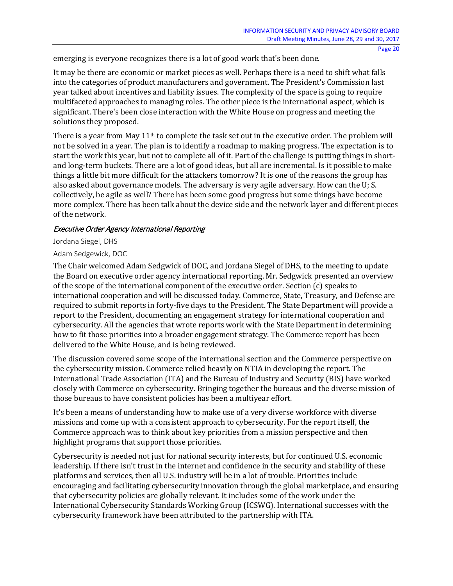emerging is everyone recognizes there is a lot of good work that's been done.

It may be there are economic or market pieces as well. Perhaps there is a need to shift what falls into the categories of product manufacturers and government. The President's Commission last year talked about incentives and liability issues. The complexity of the space is going to require multifaceted approaches to managing roles. The other piece is the international aspect, which is significant. There's been close interaction with the White House on progress and meeting the solutions they proposed.

There is a year from May  $11<sup>th</sup>$  to complete the task set out in the executive order. The problem will not be solved in a year. The plan is to identify a roadmap to making progress. The expectation is to start the work this year, but not to complete all of it. Part of the challenge is putting things in shortand long-term buckets. There are a lot of good ideas, but all are incremental. Is it possible to make things a little bit more difficult for the attackers tomorrow? It is one of the reasons the group has also asked about governance models. The adversary is very agile adversary. How can the U; S. collectively, be agile as well? There has been some good progress but some things have become more complex. There has been talk about the device side and the network layer and different pieces of the network.

## Executive Order Agency International Reporting

Jordana Siegel, DHS

## Adam Sedgewick, DOC

The Chair welcomed Adam Sedgwick of DOC, and Jordana Siegel of DHS, to the meeting to update the Board on executive order agency international reporting. Mr. Sedgwick presented an overview of the scope of the international component of the executive order. Section (c) speaks to international cooperation and will be discussed today. Commerce, State, Treasury, and Defense are required to submit reports in forty-five days to the President. The State Department will provide a report to the President, documenting an engagement strategy for international cooperation and cybersecurity. All the agencies that wrote reports work with the State Department in determining how to fit those priorities into a broader engagement strategy. The Commerce report has been delivered to the White House, and is being reviewed.

The discussion covered some scope of the international section and the Commerce perspective on the cybersecurity mission. Commerce relied heavily on NTIA in developing the report. The International Trade Association (ITA) and the Bureau of Industry and Security (BIS) have worked closely with Commerce on cybersecurity. Bringing together the bureaus and the diverse mission of those bureaus to have consistent policies has been a multiyear effort.

It's been a means of understanding how to make use of a very diverse workforce with diverse missions and come up with a consistent approach to cybersecurity. For the report itself, the Commerce approach was to think about key priorities from a mission perspective and then highlight programs that support those priorities.

Cybersecurity is needed not just for national security interests, but for continued U.S. economic leadership. If there isn't trust in the internet and confidence in the security and stability of these platforms and services, then all U.S. industry will be in a lot of trouble. Priorities include encouraging and facilitating cybersecurity innovation through the global marketplace, and ensuring that cybersecurity policies are globally relevant. It includes some of the work under the International Cybersecurity Standards Working Group (ICSWG). International successes with the cybersecurity framework have been attributed to the partnership with ITA.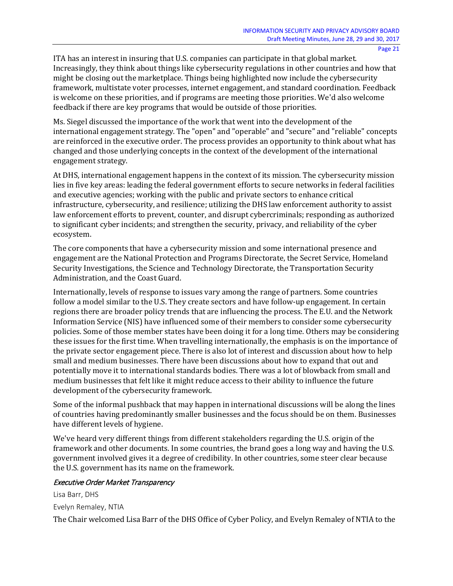ITA has an interest in insuring that U.S. companies can participate in that global market. Increasingly, they think about things like cybersecurity regulations in other countries and how that might be closing out the marketplace. Things being highlighted now include the cybersecurity framework, multistate voter processes, internet engagement, and standard coordination. Feedback is welcome on these priorities, and if programs are meeting those priorities. We'd also welcome feedback if there are key programs that would be outside of those priorities.

Ms. Siegel discussed the importance of the work that went into the development of the international engagement strategy. The "open" and "operable" and "secure" and "reliable" concepts are reinforced in the executive order. The process provides an opportunity to think about what has changed and those underlying concepts in the context of the development of the international engagement strategy.

At DHS, international engagement happens in the context of its mission. The cybersecurity mission lies in five key areas: leading the federal government efforts to secure networks in federal facilities and executive agencies; working with the public and private sectors to enhance critical infrastructure, cybersecurity, and resilience; utilizing the DHS law enforcement authority to assist law enforcement efforts to prevent, counter, and disrupt cybercriminals; responding as authorized to significant cyber incidents; and strengthen the security, privacy, and reliability of the cyber ecosystem.

The core components that have a cybersecurity mission and some international presence and engagement are the National Protection and Programs Directorate, the Secret Service, Homeland Security Investigations, the Science and Technology Directorate, the Transportation Security Administration, and the Coast Guard.

Internationally, levels of response to issues vary among the range of partners. Some countries follow a model similar to the U.S. They create sectors and have follow-up engagement. In certain regions there are broader policy trends that are influencing the process. The E.U. and the Network Information Service (NIS) have influenced some of their members to consider some cybersecurity policies. Some of those member states have been doing it for a long time. Others may be considering these issues for the first time. When travelling internationally, the emphasis is on the importance of the private sector engagement piece. There is also lot of interest and discussion about how to help small and medium businesses. There have been discussions about how to expand that out and potentially move it to international standards bodies. There was a lot of blowback from small and medium businesses that felt like it might reduce access to their ability to influence the future development of the cybersecurity framework.

Some of the informal pushback that may happen in international discussions will be along the lines of countries having predominantly smaller businesses and the focus should be on them. Businesses have different levels of hygiene.

We've heard very different things from different stakeholders regarding the U.S. origin of the framework and other documents. In some countries, the brand goes a long way and having the U.S. government involved gives it a degree of credibility. In other countries, some steer clear because the U.S. government has its name on the framework.

#### Executive Order Market Transparency

Lisa Barr, DHS Evelyn Remaley, NTIA The Chair welcomed Lisa Barr of the DHS Office of Cyber Policy, and Evelyn Remaley of NTIA to the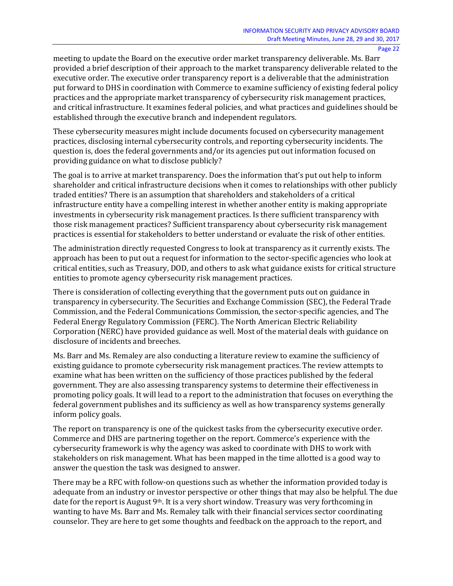meeting to update the Board on the executive order market transparency deliverable. Ms. Barr provided a brief description of their approach to the market transparency deliverable related to the executive order. The executive order transparency report is a deliverable that the administration put forward to DHS in coordination with Commerce to examine sufficiency of existing federal policy practices and the appropriate market transparency of cybersecurity risk management practices, and critical infrastructure. It examines federal policies, and what practices and guidelines should be established through the executive branch and independent regulators.

These cybersecurity measures might include documents focused on cybersecurity management practices, disclosing internal cybersecurity controls, and reporting cybersecurity incidents. The question is, does the federal governments and/or its agencies put out information focused on providing guidance on what to disclose publicly?

The goal is to arrive at market transparency. Does the information that's put out help to inform shareholder and critical infrastructure decisions when it comes to relationships with other publicly traded entities? There is an assumption that shareholders and stakeholders of a critical infrastructure entity have a compelling interest in whether another entity is making appropriate investments in cybersecurity risk management practices. Is there sufficient transparency with those risk management practices? Sufficient transparency about cybersecurity risk management practices is essential for stakeholders to better understand or evaluate the risk of other entities.

The administration directly requested Congress to look at transparency as it currently exists. The approach has been to put out a request for information to the sector-specific agencies who look at critical entities, such as Treasury, DOD, and others to ask what guidance exists for critical structure entities to promote agency cybersecurity risk management practices.

There is consideration of collecting everything that the government puts out on guidance in transparency in cybersecurity. The Securities and Exchange Commission (SEC), the Federal Trade Commission, and the Federal Communications Commission, the sector-specific agencies, and The Federal Energy Regulatory Commission (FERC). The North American Electric Reliability Corporation (NERC) have provided guidance as well. Most of the material deals with guidance on disclosure of incidents and breeches.

Ms. Barr and Ms. Remaley are also conducting a literature review to examine the sufficiency of existing guidance to promote cybersecurity risk management practices. The review attempts to examine what has been written on the sufficiency of those practices published by the federal government. They are also assessing transparency systems to determine their effectiveness in promoting policy goals. It will lead to a report to the administration that focuses on everything the federal government publishes and its sufficiency as well as how transparency systems generally inform policy goals.

The report on transparency is one of the quickest tasks from the cybersecurity executive order. Commerce and DHS are partnering together on the report. Commerce's experience with the cybersecurity framework is why the agency was asked to coordinate with DHS to work with stakeholders on risk management. What has been mapped in the time allotted is a good way to answer the question the task was designed to answer.

There may be a RFC with follow-on questions such as whether the information provided today is adequate from an industry or investor perspective or other things that may also be helpful. The due date for the report is August 9<sup>th</sup>. It is a very short window. Treasury was very forthcoming in wanting to have Ms. Barr and Ms. Remaley talk with their financial services sector coordinating counselor. They are here to get some thoughts and feedback on the approach to the report, and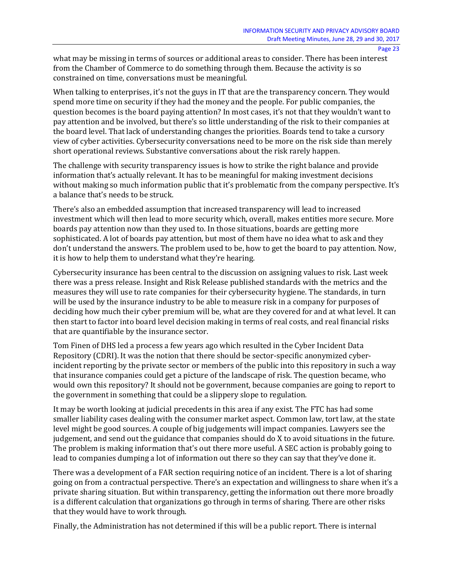what may be missing in terms of sources or additional areas to consider. There has been interest from the Chamber of Commerce to do something through them. Because the activity is so constrained on time, conversations must be meaningful.

When talking to enterprises, it's not the guys in IT that are the transparency concern. They would spend more time on security if they had the money and the people. For public companies, the question becomes is the board paying attention? In most cases, it's not that they wouldn't want to pay attention and be involved, but there's so little understanding of the risk to their companies at the board level. That lack of understanding changes the priorities. Boards tend to take a cursory view of cyber activities. Cybersecurity conversations need to be more on the risk side than merely short operational reviews. Substantive conversations about the risk rarely happen.

The challenge with security transparency issues is how to strike the right balance and provide information that's actually relevant. It has to be meaningful for making investment decisions without making so much information public that it's problematic from the company perspective. It's a balance that's needs to be struck.

There's also an embedded assumption that increased transparency will lead to increased investment which will then lead to more security which, overall, makes entities more secure. More boards pay attention now than they used to. In those situations, boards are getting more sophisticated. A lot of boards pay attention, but most of them have no idea what to ask and they don't understand the answers. The problem used to be, how to get the board to pay attention. Now, it is how to help them to understand what they're hearing.

Cybersecurity insurance has been central to the discussion on assigning values to risk. Last week there was a press release. Insight and Risk Release published standards with the metrics and the measures they will use to rate companies for their cybersecurity hygiene. The standards, in turn will be used by the insurance industry to be able to measure risk in a company for purposes of deciding how much their cyber premium will be, what are they covered for and at what level. It can then start to factor into board level decision making in terms of real costs, and real financial risks that are quantifiable by the insurance sector.

Tom Finen of DHS led a process a few years ago which resulted in the Cyber Incident Data Repository (CDRI). It was the notion that there should be sector-specific anonymized cyberincident reporting by the private sector or members of the public into this repository in such a way that insurance companies could get a picture of the landscape of risk. The question became, who would own this repository? It should not be government, because companies are going to report to the government in something that could be a slippery slope to regulation.

It may be worth looking at judicial precedents in this area if any exist. The FTC has had some smaller liability cases dealing with the consumer market aspect. Common law, tort law, at the state level might be good sources. A couple of big judgements will impact companies. Lawyers see the judgement, and send out the guidance that companies should do X to avoid situations in the future. The problem is making information that's out there more useful. A SEC action is probably going to lead to companies dumping a lot of information out there so they can say that they've done it.

There was a development of a FAR section requiring notice of an incident. There is a lot of sharing going on from a contractual perspective. There's an expectation and willingness to share when it's a private sharing situation. But within transparency, getting the information out there more broadly is a different calculation that organizations go through in terms of sharing. There are other risks that they would have to work through.

Finally, the Administration has not determined if this will be a public report. There is internal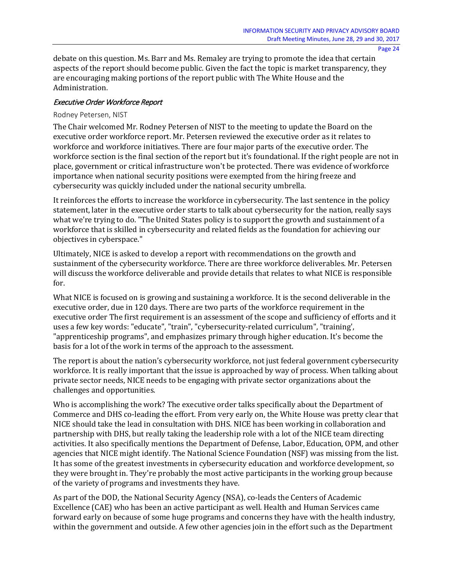debate on this question. Ms. Barr and Ms. Remaley are trying to promote the idea that certain aspects of the report should become public. Given the fact the topic is market transparency, they are encouraging making portions of the report public with The White House and the Administration.

#### Executive Order Workforce Report

#### Rodney Petersen, NIST

The Chair welcomed Mr. Rodney Petersen of NIST to the meeting to update the Board on the executive order workforce report. Mr. Petersen reviewed the executive order as it relates to workforce and workforce initiatives. There are four major parts of the executive order. The workforce section is the final section of the report but it's foundational. If the right people are not in place, government or critical infrastructure won't be protected. There was evidence of workforce importance when national security positions were exempted from the hiring freeze and cybersecurity was quickly included under the national security umbrella.

It reinforces the efforts to increase the workforce in cybersecurity. The last sentence in the policy statement, later in the executive order starts to talk about cybersecurity for the nation, really says what we're trying to do. "The United States policy is to support the growth and sustainment of a workforce that is skilled in cybersecurity and related fields as the foundation for achieving our objectives in cyberspace."

Ultimately, NICE is asked to develop a report with recommendations on the growth and sustainment of the cybersecurity workforce. There are three workforce deliverables. Mr. Petersen will discuss the workforce deliverable and provide details that relates to what NICE is responsible for.

What NICE is focused on is growing and sustaining a workforce. It is the second deliverable in the executive order, due in 120 days. There are two parts of the workforce requirement in the executive order The first requirement is an assessment of the scope and sufficiency of efforts and it uses a few key words: "educate", "train", "cybersecurity-related curriculum", "training', "apprenticeship programs", and emphasizes primary through higher education. It's become the basis for a lot of the work in terms of the approach to the assessment.

The report is about the nation's cybersecurity workforce, not just federal government cybersecurity workforce. It is really important that the issue is approached by way of process. When talking about private sector needs, NICE needs to be engaging with private sector organizations about the challenges and opportunities.

Who is accomplishing the work? The executive order talks specifically about the Department of Commerce and DHS co-leading the effort. From very early on, the White House was pretty clear that NICE should take the lead in consultation with DHS. NICE has been working in collaboration and partnership with DHS, but really taking the leadership role with a lot of the NICE team directing activities. It also specifically mentions the Department of Defense, Labor, Education, OPM, and other agencies that NICE might identify. The National Science Foundation (NSF) was missing from the list. It has some of the greatest investments in cybersecurity education and workforce development, so they were brought in. They're probably the most active participants in the working group because of the variety of programs and investments they have.

As part of the DOD, the National Security Agency (NSA), co-leads the Centers of Academic Excellence (CAE) who has been an active participant as well. Health and Human Services came forward early on because of some huge programs and concerns they have with the health industry, within the government and outside. A few other agencies join in the effort such as the Department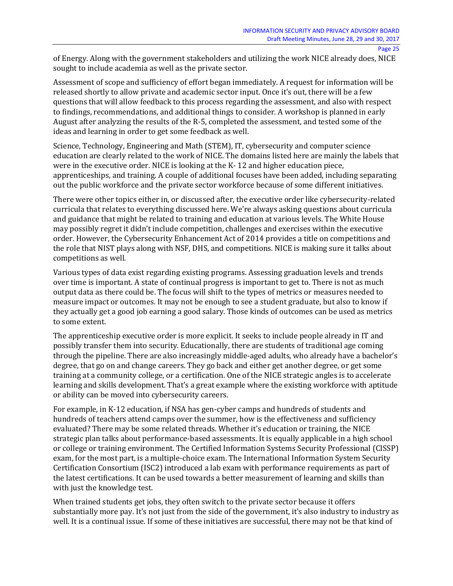of Energy. Along with the government stakeholders and utilizing the work NICE already does, NICE sought to include academia as well as the private sector.

Assessment of scope and sufficiency of effort began immediately. A request for information will be released shortly to allow private and academic sector input. Once it's out, there will be a few questions that will allow feedback to this process regarding the assessment, and also with respect to findings, recommendations, and additional things to consider. A workshop is planned in early August after analyzing the results of the R-5, completed the assessment, and tested some of the ideas and learning in order to get some feedback as well.

Science, Technology, Engineering and Math (STEM), IT, cybersecurity and computer science education are clearly related to the work of NICE. The domains listed here are mainly the labels that were in the executive order. NICE is looking at the K- 12 and higher education piece, apprenticeships, and training. A couple of additional focuses have been added, including separating out the public workforce and the private sector workforce because of some different initiatives.

There were other topics either in, or discussed after, the executive order like cybersecurity-related curricula that relates to everything discussed here. We're always asking questions about curricula and guidance that might be related to training and education at various levels. The White House may possibly regret it didn't include competition, challenges and exercises within the executive order. However, the Cybersecurity Enhancement Act of 2014 provides a title on competitions and the role that NIST plays along with NSF, DHS, and competitions. NICE is making sure it talks about competitions as well.

Various types of data exist regarding existing programs. Assessing graduation levels and trends over time is important. A state of continual progress is important to get to. There is not as much output data as there could be. The focus will shift to the types of metrics or measures needed to measure impact or outcomes. It may not be enough to see a student graduate, but also to know if they actually get a good job earning a good salary. Those kinds of outcomes can be used as metrics to some extent.

The apprenticeship executive order is more explicit. It seeks to include people already in IT and possibly transfer them into security. Educationally, there are students of traditional age coming through the pipeline. There are also increasingly middle-aged adults, who already have a bachelor's degree, that go on and change careers. They go back and either get another degree, or get some training at a community college, or a certification. One of the NICE strategic angles is to accelerate learning and skills development. That's a great example where the existing workforce with aptitude or ability can be moved into cybersecurity careers.

For example, in K-12 education, if NSA has gen-cyber camps and hundreds of students and hundreds of teachers attend camps over the summer, how is the effectiveness and sufficiency evaluated? There may be some related threads. Whether it's education or training, the NICE strategic plan talks about performance-based assessments. It is equally applicable in a high school or college or training environment. The Certified Information Systems Security Professional (CISSP) exam, for the most part, is a multiple-choice exam. The International Information System Security Certification Consortium (ISC2) introduced a lab exam with performance requirements as part of the latest certifications. It can be used towards a better measurement of learning and skills than with just the knowledge test.

When trained students get jobs, they often switch to the private sector because it offers substantially more pay. It's not just from the side of the government, it's also industry to industry as well. It is a continual issue. If some of these initiatives are successful, there may not be that kind of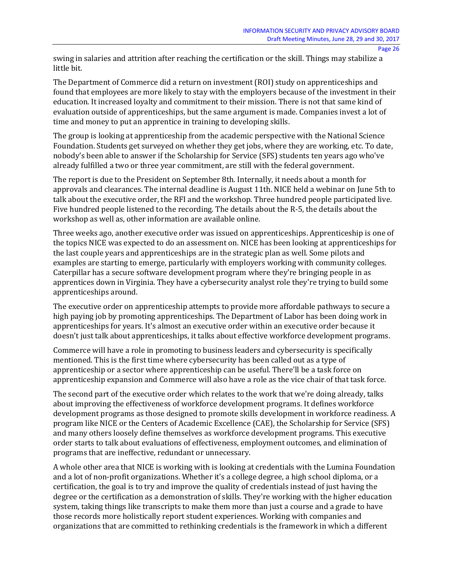swing in salaries and attrition after reaching the certification or the skill. Things may stabilize a little bit.

The Department of Commerce did a return on investment (ROI) study on apprenticeships and found that employees are more likely to stay with the employers because of the investment in their education. It increased loyalty and commitment to their mission. There is not that same kind of evaluation outside of apprenticeships, but the same argument is made. Companies invest a lot of time and money to put an apprentice in training to developing skills.

The group is looking at apprenticeship from the academic perspective with the National Science Foundation. Students get surveyed on whether they get jobs, where they are working, etc. To date, nobody's been able to answer if the Scholarship for Service (SFS) students ten years ago who've already fulfilled a two or three year commitment, are still with the federal government.

The report is due to the President on September 8th. Internally, it needs about a month for approvals and clearances. The internal deadline is August 11th. NICE held a webinar on June 5th to talk about the executive order, the RFI and the workshop. Three hundred people participated live. Five hundred people listened to the recording. The details about the R-5, the details about the workshop as well as, other information are available online.

Three weeks ago, another executive order was issued on apprenticeships. Apprenticeship is one of the topics NICE was expected to do an assessment on. NICE has been looking at apprenticeships for the last couple years and apprenticeships are in the strategic plan as well. Some pilots and examples are starting to emerge, particularly with employers working with community colleges. Caterpillar has a secure software development program where they're bringing people in as apprentices down in Virginia. They have a cybersecurity analyst role they're trying to build some apprenticeships around.

The executive order on apprenticeship attempts to provide more affordable pathways to secure a high paying job by promoting apprenticeships. The Department of Labor has been doing work in apprenticeships for years. It's almost an executive order within an executive order because it doesn't just talk about apprenticeships, it talks about effective workforce development programs.

Commerce will have a role in promoting to business leaders and cybersecurity is specifically mentioned. This is the first time where cybersecurity has been called out as a type of apprenticeship or a sector where apprenticeship can be useful. There'll be a task force on apprenticeship expansion and Commerce will also have a role as the vice chair of that task force.

The second part of the executive order which relates to the work that we're doing already, talks about improving the effectiveness of workforce development programs. It defines workforce development programs as those designed to promote skills development in workforce readiness. A program like NICE or the Centers of Academic Excellence (CAE), the Scholarship for Service (SFS) and many others loosely define themselves as workforce development programs. This executive order starts to talk about evaluations of effectiveness, employment outcomes, and elimination of programs that are ineffective, redundant or unnecessary.

A whole other area that NICE is working with is looking at credentials with the Lumina Foundation and a lot of non-profit organizations. Whether it's a college degree, a high school diploma, or a certification, the goal is to try and improve the quality of credentials instead of just having the degree or the certification as a demonstration of skills. They're working with the higher education system, taking things like transcripts to make them more than just a course and a grade to have those records more holistically report student experiences. Working with companies and organizations that are committed to rethinking credentials is the framework in which a different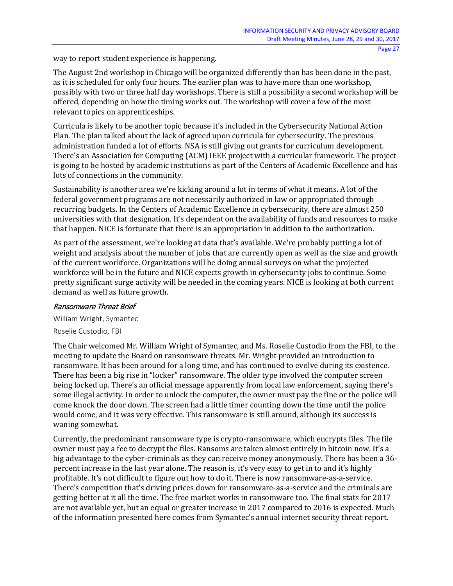way to report student experience is happening.

The August 2nd workshop in Chicago will be organized differently than has been done in the past, as it is scheduled for only four hours. The earlier plan was to have more than one workshop, possibly with two or three half day workshops. There is still a possibility a second workshop will be offered, depending on how the timing works out. The workshop will cover a few of the most relevant topics on apprenticeships.

Curricula is likely to be another topic because it's included in the Cybersecurity National Action Plan. The plan talked about the lack of agreed upon curricula for cybersecurity. The previous administration funded a lot of efforts. NSA is still giving out grants for curriculum development. There's an Association for Computing (ACM) IEEE project with a curricular framework. The project is going to be hosted by academic institutions as part of the Centers of Academic Excellence and has lots of connections in the community.

Sustainability is another area we're kicking around a lot in terms of what it means. A lot of the federal government programs are not necessarily authorized in law or appropriated through recurring budgets. In the Centers of Academic Excellence in cybersecurity, there are almost 250 universities with that designation. It's dependent on the availability of funds and resources to make that happen. NICE is fortunate that there is an appropriation in addition to the authorization.

As part of the assessment, we're looking at data that's available. We're probably putting a lot of weight and analysis about the number of jobs that are currently open as well as the size and growth of the current workforce. Organizations will be doing annual surveys on what the projected workforce will be in the future and NICE expects growth in cybersecurity jobs to continue. Some pretty significant surge activity will be needed in the coming years. NICE is looking at both current demand as well as future growth.

#### Ransomware Threat Brief

William Wright, Symantec

Roselie Custodio, FBI

The Chair welcomed Mr. William Wright of Symantec, and Ms. Roselie Custodio from the FBI, to the meeting to update the Board on ransomware threats. Mr. Wright provided an introduction to ransomware. It has been around for a long time, and has continued to evolve during its existence. There has been a big rise in "locker" ransomware. The older type involved the computer screen being locked up. There's an official message apparently from local law enforcement, saying there's some illegal activity. In order to unlock the computer, the owner must pay the fine or the police will come knock the door down. The screen had a little timer counting down the time until the police would come, and it was very effective. This ransomware is still around, although its success is waning somewhat.

Currently, the predominant ransomware type is crypto-ransomware, which encrypts files. The file owner must pay a fee to decrypt the files. Ransoms are taken almost entirely in bitcoin now. It's a big advantage to the cyber-criminals as they can receive money anonymously. There has been a 36 percent increase in the last year alone. The reason is, it's very easy to get in to and it's highly profitable. It's not difficult to figure out how to do it. There is now ransomware-as-a-service. There's competition that's driving prices down for ransomware-as-a-service and the criminals are getting better at it all the time. The free market works in ransomware too. The final stats for 2017 are not available yet, but an equal or greater increase in 2017 compared to 2016 is expected. Much of the information presented here comes from Symantec's annual internet security threat report.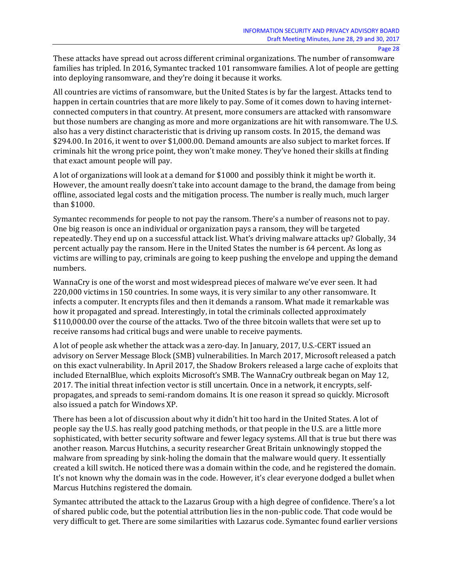These attacks have spread out across different criminal organizations. The number of ransomware families has tripled. In 2016, Symantec tracked 101 ransomware families. A lot of people are getting into deploying ransomware, and they're doing it because it works.

All countries are victims of ransomware, but the United States is by far the largest. Attacks tend to happen in certain countries that are more likely to pay. Some of it comes down to having internetconnected computers in that country. At present, more consumers are attacked with ransomware but those numbers are changing as more and more organizations are hit with ransomware. The U.S. also has a very distinct characteristic that is driving up ransom costs. In 2015, the demand was \$294.00. In 2016, it went to over \$1,000.00. Demand amounts are also subject to market forces. If criminals hit the wrong price point, they won't make money. They've honed their skills at finding that exact amount people will pay.

A lot of organizations will look at a demand for \$1000 and possibly think it might be worth it. However, the amount really doesn't take into account damage to the brand, the damage from being offline, associated legal costs and the mitigation process. The number is really much, much larger than \$1000.

Symantec recommends for people to not pay the ransom. There's a number of reasons not to pay. One big reason is once an individual or organization pays a ransom, they will be targeted repeatedly. They end up on a successful attack list. What's driving malware attacks up? Globally, 34 percent actually pay the ransom. Here in the United States the number is 64 percent. As long as victims are willing to pay, criminals are going to keep pushing the envelope and upping the demand numbers.

WannaCry is one of the worst and most widespread pieces of malware we've ever seen. It had 220,000 victims in 150 countries. In some ways, it is very similar to any other ransomware. It infects a computer. It encrypts files and then it demands a ransom. What made it remarkable was how it propagated and spread. Interestingly, in total the criminals collected approximately \$110,000.00 over the course of the attacks. Two of the three bitcoin wallets that were set up to receive ransoms had critical bugs and were unable to receive payments.

A lot of people ask whether the attack was a zero-day. In January, 2017, U.S.-CERT issued an advisory on Server Message Block (SMB) vulnerabilities. In March 2017, Microsoft released a patch on this exact vulnerability. In April 2017, the Shadow Brokers released a large cache of exploits that included EternalBlue, which exploits Microsoft's SMB. The WannaCry outbreak began on May 12, 2017. The initial threat infection vector is still uncertain. Once in a network, it encrypts, selfpropagates, and spreads to semi-random domains. It is one reason it spread so quickly. Microsoft also issued a patch for Windows XP.

There has been a lot of discussion about why it didn't hit too hard in the United States. A lot of people say the U.S. has really good patching methods, or that people in the U.S. are a little more sophisticated, with better security software and fewer legacy systems. All that is true but there was another reason. Marcus Hutchins, a security researcher Great Britain unknowingly stopped the malware from spreading by sink-holing the domain that the malware would query. It essentially created a kill switch. He noticed there was a domain within the code, and he registered the domain. It's not known why the domain was in the code. However, it's clear everyone dodged a bullet when Marcus Hutchins registered the domain.

Symantec attributed the attack to the Lazarus Group with a high degree of confidence. There's a lot of shared public code, but the potential attribution lies in the non-public code. That code would be very difficult to get. There are some similarities with Lazarus code. Symantec found earlier versions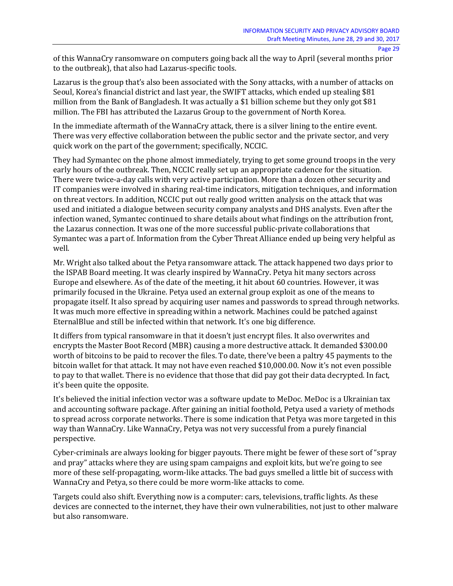of this WannaCry ransomware on computers going back all the way to April (several months prior to the outbreak), that also had Lazarus-specific tools.

Lazarus is the group that's also been associated with the Sony attacks, with a number of attacks on Seoul, Korea's financial district and last year, the SWIFT attacks, which ended up stealing \$81 million from the Bank of Bangladesh. It was actually a \$1 billion scheme but they only got \$81 million. The FBI has attributed the Lazarus Group to the government of North Korea.

In the immediate aftermath of the WannaCry attack, there is a silver lining to the entire event. There was very effective collaboration between the public sector and the private sector, and very quick work on the part of the government; specifically, NCCIC.

They had Symantec on the phone almost immediately, trying to get some ground troops in the very early hours of the outbreak. Then, NCCIC really set up an appropriate cadence for the situation. There were twice-a-day calls with very active participation. More than a dozen other security and IT companies were involved in sharing real-time indicators, mitigation techniques, and information on threat vectors. In addition, NCCIC put out really good written analysis on the attack that was used and initiated a dialogue between security company analysts and DHS analysts. Even after the infection waned, Symantec continued to share details about what findings on the attribution front, the Lazarus connection. It was one of the more successful public-private collaborations that Symantec was a part of. Information from the Cyber Threat Alliance ended up being very helpful as well.

Mr. Wright also talked about the Petya ransomware attack. The attack happened two days prior to the ISPAB Board meeting. It was clearly inspired by WannaCry. Petya hit many sectors across Europe and elsewhere. As of the date of the meeting, it hit about 60 countries. However, it was primarily focused in the Ukraine. Petya used an external group exploit as one of the means to propagate itself. It also spread by acquiring user names and passwords to spread through networks. It was much more effective in spreading within a network. Machines could be patched against EternalBlue and still be infected within that network. It's one big difference.

It differs from typical ransomware in that it doesn't just encrypt files. It also overwrites and encrypts the Master Boot Record (MBR) causing a more destructive attack. It demanded \$300.00 worth of bitcoins to be paid to recover the files. To date, there've been a paltry 45 payments to the bitcoin wallet for that attack. It may not have even reached \$10,000.00. Now it's not even possible to pay to that wallet. There is no evidence that those that did pay got their data decrypted. In fact, it's been quite the opposite.

It's believed the initial infection vector was a software update to MeDoc. MeDoc is a Ukrainian tax and accounting software package. After gaining an initial foothold, Petya used a variety of methods to spread across corporate networks. There is some indication that Petya was more targeted in this way than WannaCry. Like WannaCry, Petya was not very successful from a purely financial perspective.

Cyber-criminals are always looking for bigger payouts. There might be fewer of these sort of "spray and pray" attacks where they are using spam campaigns and exploit kits, but we're going to see more of these self-propagating, worm-like attacks. The bad guys smelled a little bit of success with WannaCry and Petya, so there could be more worm-like attacks to come.

Targets could also shift. Everything now is a computer: cars, televisions, traffic lights. As these devices are connected to the internet, they have their own vulnerabilities, not just to other malware but also ransomware.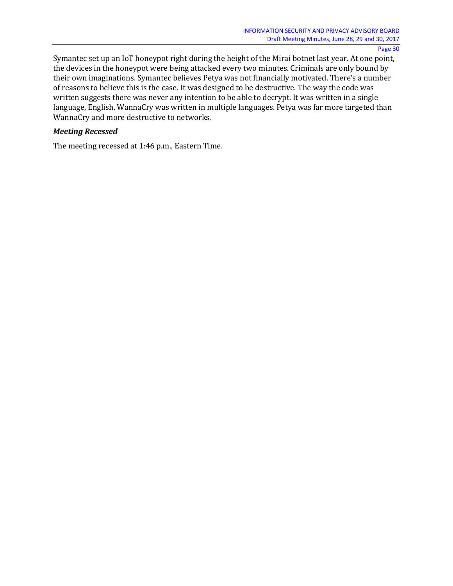Symantec set up an IoT honeypot right during the height of the Mirai botnet last year. At one point, the devices in the honeypot were being attacked every two minutes. Criminals are only bound by their own imaginations. Symantec believes Petya was not financially motivated. There's a number of reasons to believe this is the case. It was designed to be destructive. The way the code was written suggests there was never any intention to be able to decrypt. It was written in a single language, English. WannaCry was written in multiple languages. Petya was far more targeted than WannaCry and more destructive to networks.

#### *Meeting Recessed*

The meeting recessed at 1:46 p.m., Eastern Time.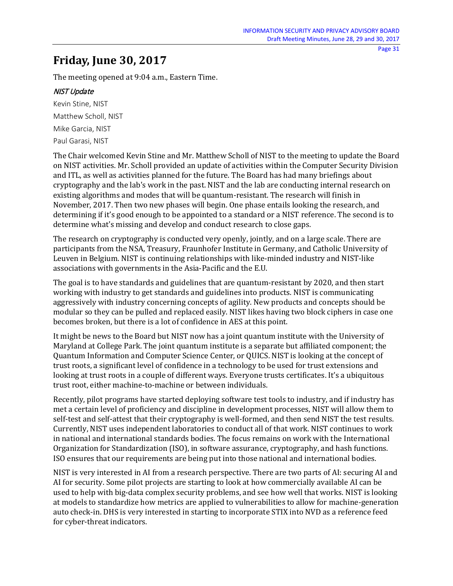## **Friday, June 30, 2017**

The meeting opened at 9:04 a.m., Eastern Time.

## NIST Update

Kevin Stine, NIST Matthew Scholl, NIST Mike Garcia, NIST Paul Garasi, NIST

The Chair welcomed Kevin Stine and Mr. Matthew Scholl of NIST to the meeting to update the Board on NIST activities. Mr. Scholl provided an update of activities within the Computer Security Division and ITL, as well as activities planned for the future. The Board has had many briefings about cryptography and the lab's work in the past. NIST and the lab are conducting internal research on existing algorithms and modes that will be quantum-resistant. The research will finish in November, 2017. Then two new phases will begin. One phase entails looking the research, and determining if it's good enough to be appointed to a standard or a NIST reference. The second is to determine what's missing and develop and conduct research to close gaps.

The research on cryptography is conducted very openly, jointly, and on a large scale. There are participants from the NSA, Treasury, Fraunhofer Institute in Germany, and Catholic University of Leuven in Belgium. NIST is continuing relationships with like-minded industry and NIST-like associations with governments in the Asia-Pacific and the E.U.

The goal is to have standards and guidelines that are quantum-resistant by 2020, and then start working with industry to get standards and guidelines into products. NIST is communicating aggressively with industry concerning concepts of agility. New products and concepts should be modular so they can be pulled and replaced easily. NIST likes having two block ciphers in case one becomes broken, but there is a lot of confidence in AES at this point.

It might be news to the Board but NIST now has a joint quantum institute with the University of Maryland at College Park. The joint quantum institute is a separate but affiliated component; the Quantum Information and Computer Science Center, or QUICS. NIST is looking at the concept of trust roots, a significant level of confidence in a technology to be used for trust extensions and looking at trust roots in a couple of different ways. Everyone trusts certificates. It's a ubiquitous trust root, either machine-to-machine or between individuals.

Recently, pilot programs have started deploying software test tools to industry, and if industry has met a certain level of proficiency and discipline in development processes, NIST will allow them to self-test and self-attest that their cryptography is well-formed, and then send NIST the test results. Currently, NIST uses independent laboratories to conduct all of that work. NIST continues to work in national and international standards bodies. The focus remains on work with the International Organization for Standardization (ISO), in software assurance, cryptography, and hash functions. ISO ensures that our requirements are being put into those national and international bodies.

NIST is very interested in AI from a research perspective. There are two parts of AI: securing AI and AI for security. Some pilot projects are starting to look at how commercially available AI can be used to help with big-data complex security problems, and see how well that works. NIST is looking at models to standardize how metrics are applied to vulnerabilities to allow for machine-generation auto check-in. DHS is very interested in starting to incorporate STIX into NVD as a reference feed for cyber-threat indicators.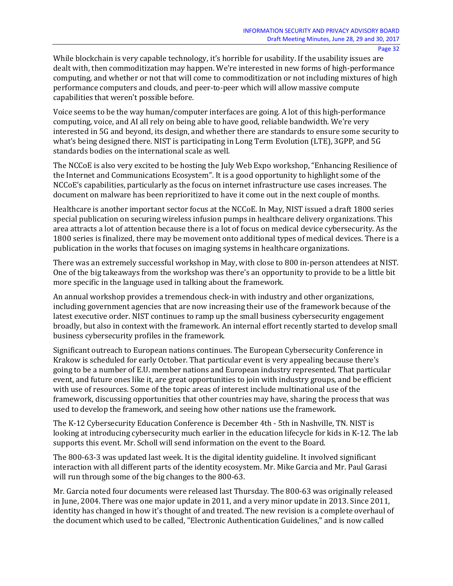While blockchain is very capable technology, it's horrible for usability. If the usability issues are dealt with, then commoditization may happen. We're interested in new forms of high-performance computing, and whether or not that will come to commoditization or not including mixtures of high performance computers and clouds, and peer-to-peer which will allow massive compute capabilities that weren't possible before.

Voice seems to be the way human/computer interfaces are going. A lot of this high-performance computing, voice, and AI all rely on being able to have good, reliable bandwidth. We're very interested in 5G and beyond, its design, and whether there are standards to ensure some security to what's being designed there. NIST is participating in Long Term Evolution (LTE), 3GPP, and 5G standards bodies on the international scale as well.

The NCCoE is also very excited to be hosting the July Web Expo workshop, "Enhancing Resilience of the Internet and Communications Ecosystem". It is a good opportunity to highlight some of the NCCoE's capabilities, particularly as the focus on internet infrastructure use cases increases. The document on malware has been reprioritized to have it come out in the next couple of months.

Healthcare is another important sector focus at the NCCoE. In May, NIST issued a draft 1800 series special publication on securing wireless infusion pumps in healthcare delivery organizations. This area attracts a lot of attention because there is a lot of focus on medical device cybersecurity. As the 1800 series is finalized, there may be movement onto additional types of medical devices. There is a publication in the works that focuses on imaging systems in healthcare organizations.

There was an extremely successful workshop in May, with close to 800 in-person attendees at NIST. One of the big takeaways from the workshop was there's an opportunity to provide to be a little bit more specific in the language used in talking about the framework.

An annual workshop provides a tremendous check-in with industry and other organizations, including government agencies that are now increasing their use of the framework because of the latest executive order. NIST continues to ramp up the small business cybersecurity engagement broadly, but also in context with the framework. An internal effort recently started to develop small business cybersecurity profiles in the framework.

Significant outreach to European nations continues. The European Cybersecurity Conference in Krakow is scheduled for early October. That particular event is very appealing because there's going to be a number of E.U. member nations and European industry represented. That particular event, and future ones like it, are great opportunities to join with industry groups, and be efficient with use of resources. Some of the topic areas of interest include multinational use of the framework, discussing opportunities that other countries may have, sharing the process that was used to develop the framework, and seeing how other nations use the framework.

The K-12 Cybersecurity Education Conference is December 4th - 5th in Nashville, TN. NIST is looking at introducing cybersecurity much earlier in the education lifecycle for kids in K-12. The lab supports this event. Mr. Scholl will send information on the event to the Board.

The 800-63-3 was updated last week. It is the digital identity guideline. It involved significant interaction with all different parts of the identity ecosystem. Mr. Mike Garcia and Mr. Paul Garasi will run through some of the big changes to the 800-63.

Mr. Garcia noted four documents were released last Thursday. The 800-63 was originally released in June, 2004. There was one major update in 2011, and a very minor update in 2013. Since 2011, identity has changed in how it's thought of and treated. The new revision is a complete overhaul of the document which used to be called, "Electronic Authentication Guidelines," and is now called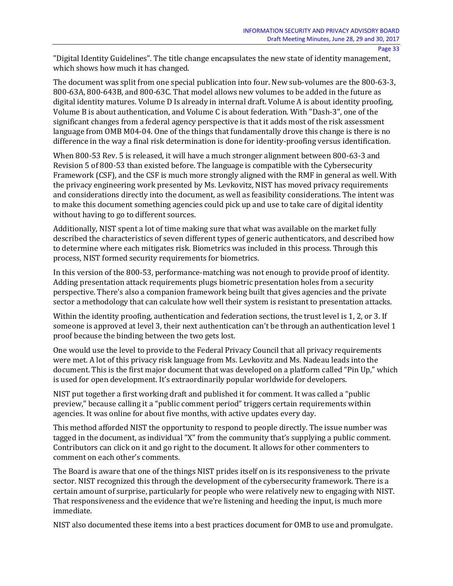"Digital Identity Guidelines". The title change encapsulates the new state of identity management, which shows how much it has changed.

The document was split from one special publication into four. New sub-volumes are the 800-63-3, 800-63A, 800-643B, and 800-63C. That model allows new volumes to be added in the future as digital identity matures. Volume D Is already in internal draft. Volume A is about identity proofing, Volume B is about authentication, and Volume C is about federation. With "Dash-3", one of the significant changes from a federal agency perspective is that it adds most of the risk assessment language from OMB M04-04. One of the things that fundamentally drove this change is there is no difference in the way a final risk determination is done for identity-proofing versus identification.

When 800-53 Rev. 5 is released, it will have a much stronger alignment between 800-63-3 and Revision 5 of 800-53 than existed before. The language is compatible with the Cybersecurity Framework (CSF), and the CSF is much more strongly aligned with the RMF in general as well. With the privacy engineering work presented by Ms. Levkovitz, NIST has moved privacy requirements and considerations directly into the document, as well as feasibility considerations. The intent was to make this document something agencies could pick up and use to take care of digital identity without having to go to different sources.

Additionally, NIST spent a lot of time making sure that what was available on the market fully described the characteristics of seven different types of generic authenticators, and described how to determine where each mitigates risk. Biometrics was included in this process. Through this process, NIST formed security requirements for biometrics.

In this version of the 800-53, performance-matching was not enough to provide proof of identity. Adding presentation attack requirements plugs biometric presentation holes from a security perspective. There's also a companion framework being built that gives agencies and the private sector a methodology that can calculate how well their system is resistant to presentation attacks.

Within the identity proofing, authentication and federation sections, the trust level is 1, 2, or 3. If someone is approved at level 3, their next authentication can't be through an authentication level 1 proof because the binding between the two gets lost.

One would use the level to provide to the Federal Privacy Council that all privacy requirements were met. A lot of this privacy risk language from Ms. Levkovitz and Ms. Nadeau leads into the document. This is the first major document that was developed on a platform called "Pin Up," which is used for open development. It's extraordinarily popular worldwide for developers.

NIST put together a first working draft and published it for comment. It was called a "public preview," because calling it a "public comment period" triggers certain requirements within agencies. It was online for about five months, with active updates every day.

This method afforded NIST the opportunity to respond to people directly. The issue number was tagged in the document, as individual "X" from the community that's supplying a public comment. Contributors can click on it and go right to the document. It allows for other commenters to comment on each other's comments.

The Board is aware that one of the things NIST prides itself on is its responsiveness to the private sector. NIST recognized this through the development of the cybersecurity framework. There is a certain amount of surprise, particularly for people who were relatively new to engaging with NIST. That responsiveness and the evidence that we're listening and heeding the input, is much more immediate.

NIST also documented these items into a best practices document for OMB to use and promulgate.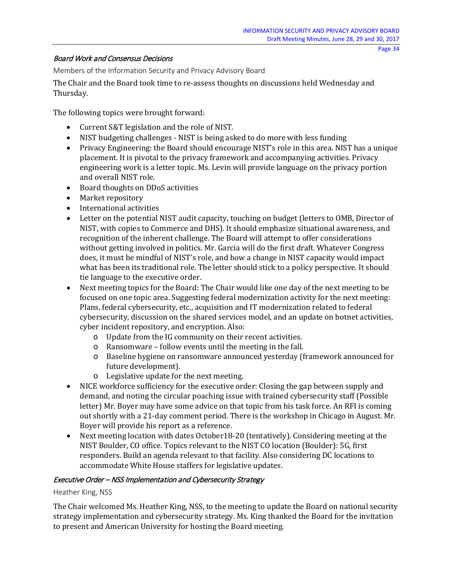#### Board Work and Consensus Decisions

Members of the Information Security and Privacy Advisory Board

The Chair and the Board took time to re-assess thoughts on discussions held Wednesday and Thursday.

The following topics were brought forward:

- Current S&T legislation and the role of NIST.
- NIST budgeting challenges NIST is being asked to do more with less funding
- Privacy Engineering: the Board should encourage NIST's role in this area. NIST has a unique placement. It is pivotal to the privacy framework and accompanying activities. Privacy engineering work is a letter topic. Ms. Levin will provide language on the privacy portion and overall NIST role.
- Board thoughts on DDoS activities
- Market repository
- International activities
- Letter on the potential NIST audit capacity, touching on budget (letters to OMB, Director of NIST, with copies to Commerce and DHS). It should emphasize situational awareness, and recognition of the inherent challenge. The Board will attempt to offer considerations without getting involved in politics. Mr. Garcia will do the first draft. Whatever Congress does, it must be mindful of NIST's role, and how a change in NIST capacity would impact what has been its traditional role. The letter should stick to a policy perspective. It should tie language to the executive order.
- Next meeting topics for the Board: The Chair would like one day of the next meeting to be focused on one topic area. Suggesting federal modernization activity for the next meeting: Plans, federal cybersecurity, etc., acquisition and IT modernization related to federal cybersecurity, discussion on the shared services model, and an update on botnet activities, cyber incident repository, and encryption. Also:
	- o Update from the IG community on their recent activities.
	- o Ransomware follow events until the meeting in the fall.
	- o Baseline hygiene on ransomware announced yesterday (framework announced for future development).
	- o Legislative update for the next meeting.
- NICE workforce sufficiency for the executive order: Closing the gap between supply and demand, and noting the circular poaching issue with trained cybersecurity staff (Possible letter) Mr. Boyer may have some advice on that topic from his task force. An RFI is coming out shortly with a 21-day comment period. There is the workshop in Chicago in August. Mr. Boyer will provide his report as a reference.
- Next meeting location with dates October 18-20 (tentatively). Considering meeting at the NIST Boulder, CO office. Topics relevant to the NIST CO location (Boulder): 5G, first responders. Build an agenda relevant to that facility. Also considering DC locations to accommodate White House staffers for legislative updates.

## Executive Order – NSS Implementation and Cybersecurity Strategy

#### Heather King, NSS

The Chair welcomed Ms. Heather King, NSS, to the meeting to update the Board on national security strategy implementation and cybersecurity strategy. Ms. King thanked the Board for the invitation to present and American University for hosting the Board meeting.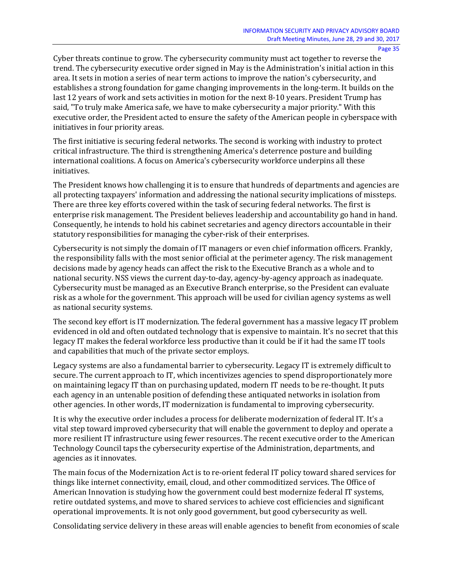Cyber threats continue to grow. The cybersecurity community must act together to reverse the trend. The cybersecurity executive order signed in May is the Administration's initial action in this area. It sets in motion a series of near term actions to improve the nation's cybersecurity, and establishes a strong foundation for game changing improvements in the long-term. It builds on the last 12 years of work and sets activities in motion for the next 8-10 years. President Trump has said, "To truly make America safe, we have to make cybersecurity a major priority." With this executive order, the President acted to ensure the safety of the American people in cyberspace with initiatives in four priority areas.

The first initiative is securing federal networks. The second is working with industry to protect critical infrastructure. The third is strengthening America's deterrence posture and building international coalitions. A focus on America's cybersecurity workforce underpins all these initiatives.

The President knows how challenging it is to ensure that hundreds of departments and agencies are all protecting taxpayers' information and addressing the national security implications of missteps. There are three key efforts covered within the task of securing federal networks. The first is enterprise risk management. The President believes leadership and accountability go hand in hand. Consequently, he intends to hold his cabinet secretaries and agency directors accountable in their statutory responsibilities for managing the cyber-risk of their enterprises.

Cybersecurity is not simply the domain of IT managers or even chief information officers. Frankly, the responsibility falls with the most senior official at the perimeter agency. The risk management decisions made by agency heads can affect the risk to the Executive Branch as a whole and to national security. NSS views the current day-to-day, agency-by-agency approach as inadequate. Cybersecurity must be managed as an Executive Branch enterprise, so the President can evaluate risk as a whole for the government. This approach will be used for civilian agency systems as well as national security systems.

The second key effort is IT modernization. The federal government has a massive legacy IT problem evidenced in old and often outdated technology that is expensive to maintain. It's no secret that this legacy IT makes the federal workforce less productive than it could be if it had the same IT tools and capabilities that much of the private sector employs.

Legacy systems are also a fundamental barrier to cybersecurity. Legacy IT is extremely difficult to secure. The current approach to IT, which incentivizes agencies to spend disproportionately more on maintaining legacy IT than on purchasing updated, modern IT needs to be re-thought. It puts each agency in an untenable position of defending these antiquated networks in isolation from other agencies. In other words, IT modernization is fundamental to improving cybersecurity.

It is why the executive order includes a process for deliberate modernization of federal IT. It's a vital step toward improved cybersecurity that will enable the government to deploy and operate a more resilient IT infrastructure using fewer resources. The recent executive order to the American Technology Council taps the cybersecurity expertise of the Administration, departments, and agencies as it innovates.

The main focus of the Modernization Act is to re-orient federal IT policy toward shared services for things like internet connectivity, email, cloud, and other commoditized services. The Office of American Innovation is studying how the government could best modernize federal IT systems, retire outdated systems, and move to shared services to achieve cost efficiencies and significant operational improvements. It is not only good government, but good cybersecurity as well.

Consolidating service delivery in these areas will enable agencies to benefit from economies of scale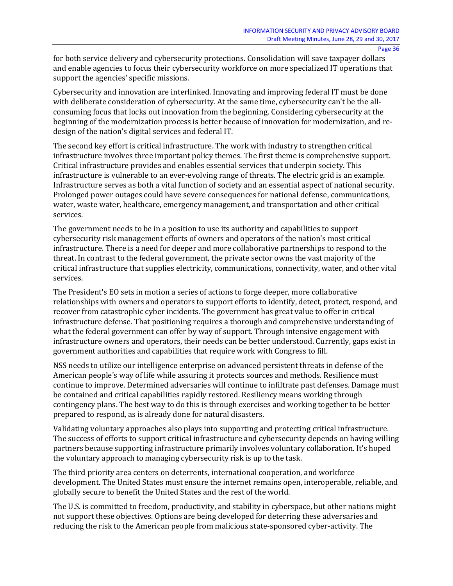for both service delivery and cybersecurity protections. Consolidation will save taxpayer dollars and enable agencies to focus their cybersecurity workforce on more specialized IT operations that support the agencies' specific missions.

Cybersecurity and innovation are interlinked. Innovating and improving federal IT must be done with deliberate consideration of cybersecurity. At the same time, cybersecurity can't be the allconsuming focus that locks out innovation from the beginning. Considering cybersecurity at the beginning of the modernization process is better because of innovation for modernization, and redesign of the nation's digital services and federal IT.

The second key effort is critical infrastructure. The work with industry to strengthen critical infrastructure involves three important policy themes. The first theme is comprehensive support. Critical infrastructure provides and enables essential services that underpin society. This infrastructure is vulnerable to an ever-evolving range of threats. The electric grid is an example. Infrastructure serves as both a vital function of society and an essential aspect of national security. Prolonged power outages could have severe consequences for national defense, communications, water, waste water, healthcare, emergency management, and transportation and other critical services.

The government needs to be in a position to use its authority and capabilities to support cybersecurity risk management efforts of owners and operators of the nation's most critical infrastructure. There is a need for deeper and more collaborative partnerships to respond to the threat. In contrast to the federal government, the private sector owns the vast majority of the critical infrastructure that supplies electricity, communications, connectivity, water, and other vital services.

The President's EO sets in motion a series of actions to forge deeper, more collaborative relationships with owners and operators to support efforts to identify, detect, protect, respond, and recover from catastrophic cyber incidents. The government has great value to offer in critical infrastructure defense. That positioning requires a thorough and comprehensive understanding of what the federal government can offer by way of support. Through intensive engagement with infrastructure owners and operators, their needs can be better understood. Currently, gaps exist in government authorities and capabilities that require work with Congress to fill.

NSS needs to utilize our intelligence enterprise on advanced persistent threats in defense of the American people's way of life while assuring it protects sources and methods. Resilience must continue to improve. Determined adversaries will continue to infiltrate past defenses. Damage must be contained and critical capabilities rapidly restored. Resiliency means working through contingency plans. The best way to do this is through exercises and working together to be better prepared to respond, as is already done for natural disasters.

Validating voluntary approaches also plays into supporting and protecting critical infrastructure. The success of efforts to support critical infrastructure and cybersecurity depends on having willing partners because supporting infrastructure primarily involves voluntary collaboration. It's hoped the voluntary approach to managing cybersecurity risk is up to the task.

The third priority area centers on deterrents, international cooperation, and workforce development. The United States must ensure the internet remains open, interoperable, reliable, and globally secure to benefit the United States and the rest of the world.

The U.S. is committed to freedom, productivity, and stability in cyberspace, but other nations might not support these objectives. Options are being developed for deterring these adversaries and reducing the risk to the American people from malicious state-sponsored cyber-activity. The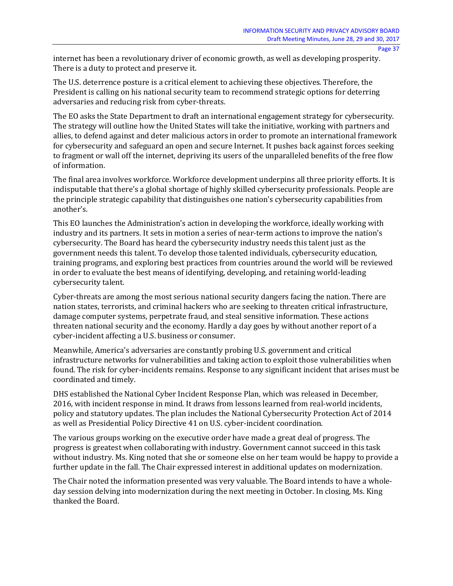internet has been a revolutionary driver of economic growth, as well as developing prosperity. There is a duty to protect and preserve it.

The U.S. deterrence posture is a critical element to achieving these objectives. Therefore, the President is calling on his national security team to recommend strategic options for deterring adversaries and reducing risk from cyber-threats.

The EO asks the State Department to draft an international engagement strategy for cybersecurity. The strategy will outline how the United States will take the initiative, working with partners and allies, to defend against and deter malicious actors in order to promote an international framework for cybersecurity and safeguard an open and secure Internet. It pushes back against forces seeking to fragment or wall off the internet, depriving its users of the unparalleled benefits of the free flow of information.

The final area involves workforce. Workforce development underpins all three priority efforts. It is indisputable that there's a global shortage of highly skilled cybersecurity professionals. People are the principle strategic capability that distinguishes one nation's cybersecurity capabilities from another's.

This EO launches the Administration's action in developing the workforce, ideally working with industry and its partners. It sets in motion a series of near-term actions to improve the nation's cybersecurity. The Board has heard the cybersecurity industry needs this talent just as the government needs this talent. To develop those talented individuals, cybersecurity education, training programs, and exploring best practices from countries around the world will be reviewed in order to evaluate the best means of identifying, developing, and retaining world-leading cybersecurity talent.

Cyber-threats are among the most serious national security dangers facing the nation. There are nation states, terrorists, and criminal hackers who are seeking to threaten critical infrastructure, damage computer systems, perpetrate fraud, and steal sensitive information. These actions threaten national security and the economy. Hardly a day goes by without another report of a cyber-incident affecting a U.S. business or consumer.

Meanwhile, America's adversaries are constantly probing U.S. government and critical infrastructure networks for vulnerabilities and taking action to exploit those vulnerabilities when found. The risk for cyber-incidents remains. Response to any significant incident that arises must be coordinated and timely.

DHS established the National Cyber Incident Response Plan, which was released in December, 2016, with incident response in mind. It draws from lessons learned from real-world incidents, policy and statutory updates. The plan includes the National Cybersecurity Protection Act of 2014 as well as Presidential Policy Directive 41 on U.S. cyber-incident coordination.

The various groups working on the executive order have made a great deal of progress. The progress is greatest when collaborating with industry. Government cannot succeed in this task without industry. Ms. King noted that she or someone else on her team would be happy to provide a further update in the fall. The Chair expressed interest in additional updates on modernization.

The Chair noted the information presented was very valuable. The Board intends to have a wholeday session delving into modernization during the next meeting in October. In closing, Ms. King thanked the Board.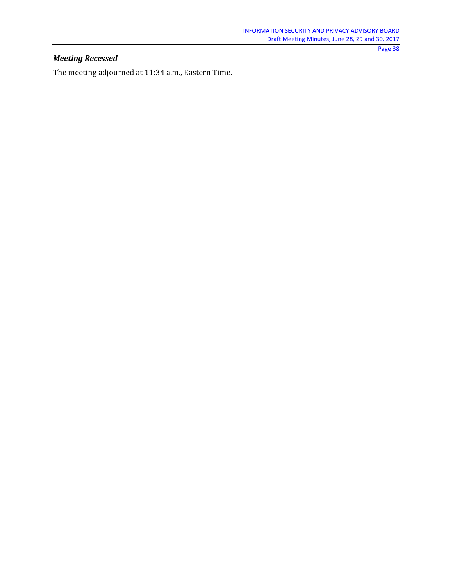## *Meeting Recessed*

The meeting adjourned at 11:34 a.m., Eastern Time.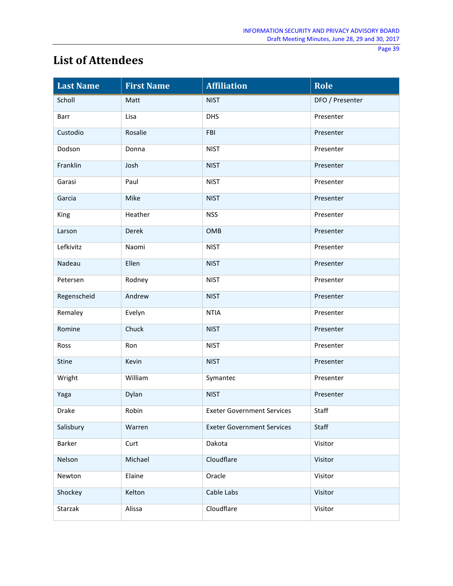# **List of Attendees**

| <b>Last Name</b> | <b>First Name</b> | <b>Affiliation</b>                | Role            |
|------------------|-------------------|-----------------------------------|-----------------|
| Scholl           | Matt              | <b>NIST</b>                       | DFO / Presenter |
| Barr             | Lisa              | <b>DHS</b>                        | Presenter       |
| Custodio         | Rosalie           | FBI                               | Presenter       |
| Dodson           | Donna             | <b>NIST</b>                       | Presenter       |
| Franklin         | Josh              | <b>NIST</b>                       | Presenter       |
| Garasi           | Paul              | <b>NIST</b>                       | Presenter       |
| Garcia           | Mike              | <b>NIST</b>                       | Presenter       |
| King             | Heather           | <b>NSS</b>                        | Presenter       |
| Larson           | Derek             | OMB                               | Presenter       |
| Lefkivitz        | Naomi             | <b>NIST</b>                       | Presenter       |
| Nadeau           | Ellen             | <b>NIST</b>                       | Presenter       |
| Petersen         | Rodney            | <b>NIST</b>                       | Presenter       |
| Regenscheid      | Andrew            | <b>NIST</b>                       | Presenter       |
| Remaley          | Evelyn            | <b>NTIA</b>                       | Presenter       |
| Romine           | Chuck             | <b>NIST</b>                       | Presenter       |
| Ross             | Ron               | <b>NIST</b>                       | Presenter       |
| Stine            | Kevin             | <b>NIST</b>                       | Presenter       |
| Wright           | William           | Symantec                          | Presenter       |
| Yaga             | Dylan             | <b>NIST</b>                       | Presenter       |
| Drake            | Robin             | Exeter Government Services        | Staff           |
| Salisbury        | Warren            | <b>Exeter Government Services</b> | Staff           |
| Barker           | Curt              | Dakota                            | Visitor         |
| Nelson           | Michael           | Cloudflare                        | Visitor         |
| Newton           | Elaine            | Oracle                            | Visitor         |
| Shockey          | Kelton            | Cable Labs                        | Visitor         |
| Starzak          | Alissa            | Cloudflare                        | Visitor         |